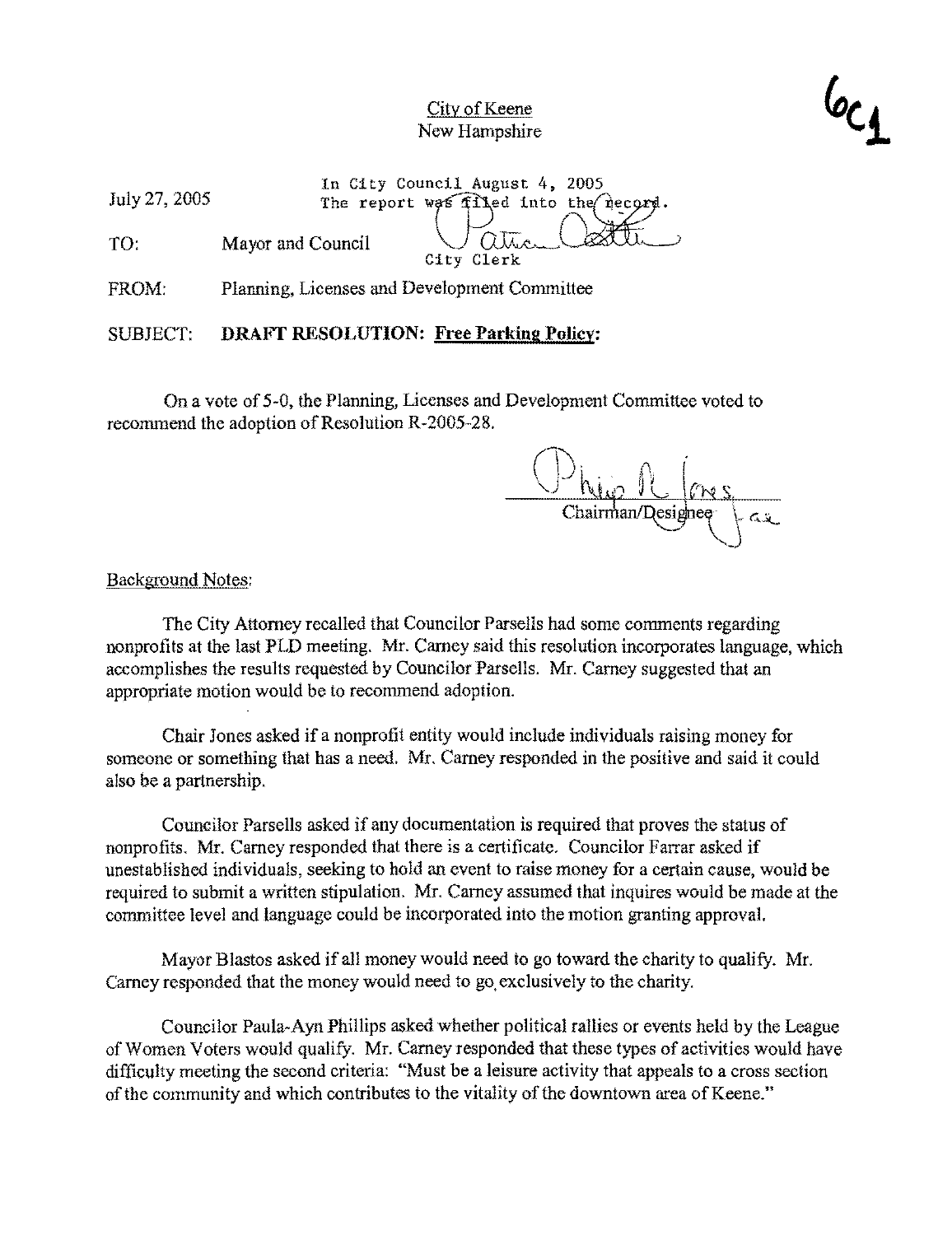

July 27,2005 TO: In City Council August 4, 2005 The report was filled into the necord. Mayor and Council ors Tiped Into the necessar.

City Clerk

FROM: Planning, Licenses and Development Committee

SUBJECT: **DRAFT RESOLUTION: Free Parking Policy:** 

On a vote of 5-0, the Planning, Licenses and Development Committee voted to recommend the adoption of Resolution R-2005-28.

Thairman/Designee

#### Background Notes:

The City Attorney recalled that Councilor Parsells had some comments regarding nonprofits at the last PLD meeting. Mr. Carney said this resolution incorporates language, which accomplishes the results requested by Councilor Parsells. Mr. Carney suggested that an appropriate motion would be to recommend adoption.

Chair Jones asked if a nonprofit entity would include individuals raising money for someone or something that has a need. Mr. Carney responded in the positive and said it eould also be a partnership.

Councilor Parsells asked if any documentation is required that proves the status of nonprofits. Mr. Carney responded that there is a certificate. Councilor Farrar asked if unestablished individuals, seeking to hold an event to raise money for a certain cause, would be required to submit a written stipulation. Mr. Carney assumed that inquires would be made at the committee level and language could be incorporated into the motion granting approval.

Mayor Blastos asked if all money would need to go toward the charity to qualify. Mr. Carney responded that the money would need to go. exclusively to the charity.

Councilor Paula-Ayn Phillips asked whether political rallies or events held by the League of Women Voters would qualify. Mr. Carney responded that these types of activities would have difficulty meeting the second criteria: "Must be a leisure activity that appeals to a cross section of the community and which contributes to the vitality of the downtown area of Keene."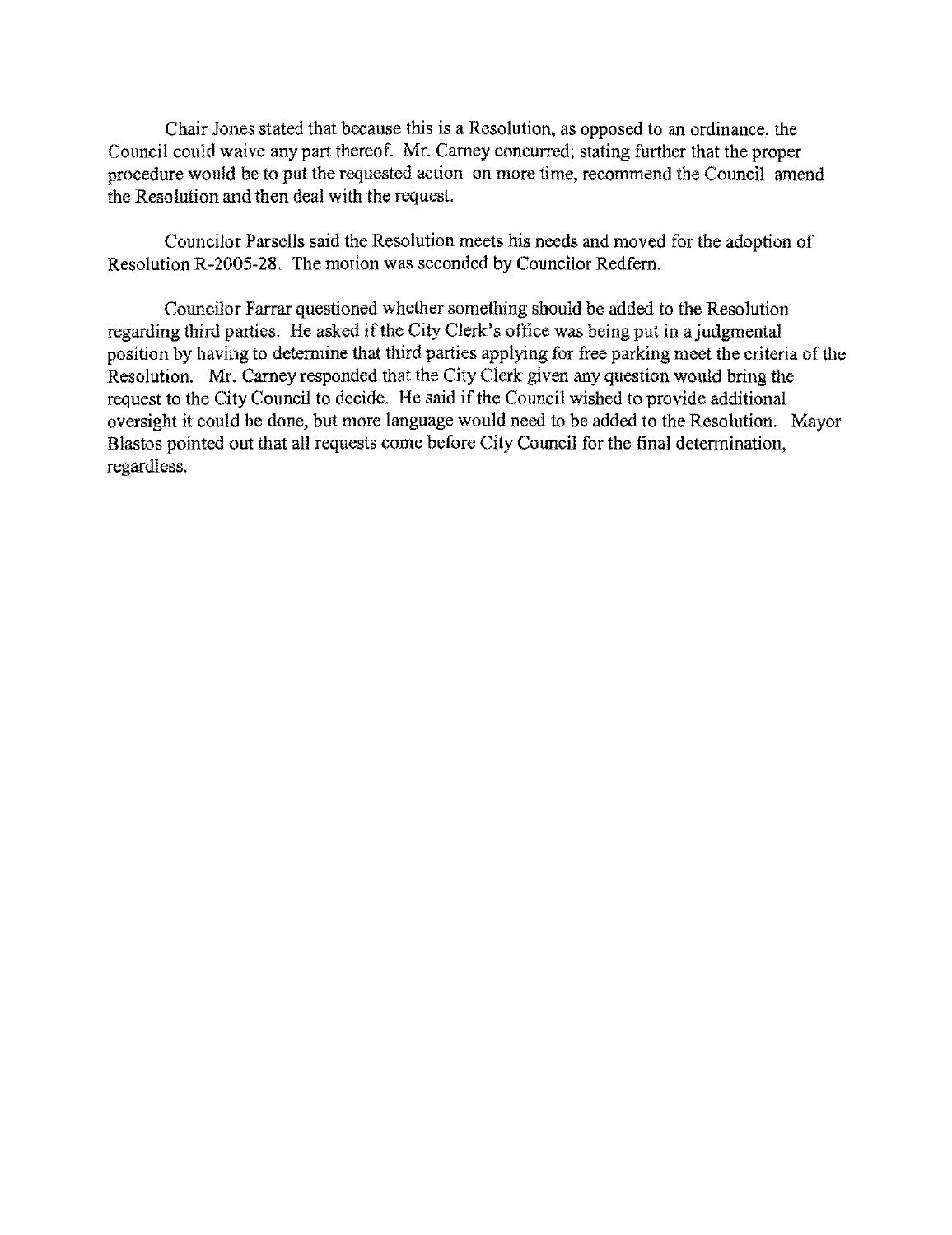Chair Jones stated that because this is a Resolution, as opposed to an ordinance, the Council could waivc any part thereof. Mr. Carney concurred; stating further that the proper procedure would be to put the requested action on more time, reeommend the Council amend the Reso lution and then deal with the request.

Councilor Parsells said the Resolution meets his needs and moved for the adoption of Resolution R-2005-28. The motion was seconded by Councilor Redfern.

Councilor Farrar questioned whether something should be added to the Resolution regarding third parties. He asked if the City Clerk's offiee was being put in a judgmental position by having to determine that third parties applying for free parking meet the eriteria of the Resolution. Mr. Carney responded that the City Clerk given any question would bring the request to the City Council to decide. He said if the Council wished to provide additional oversight it could be done, but more language would need to be added to the Resolution. Mayor Blastos pointed out that all requests come before City Council for the final determination, regardless.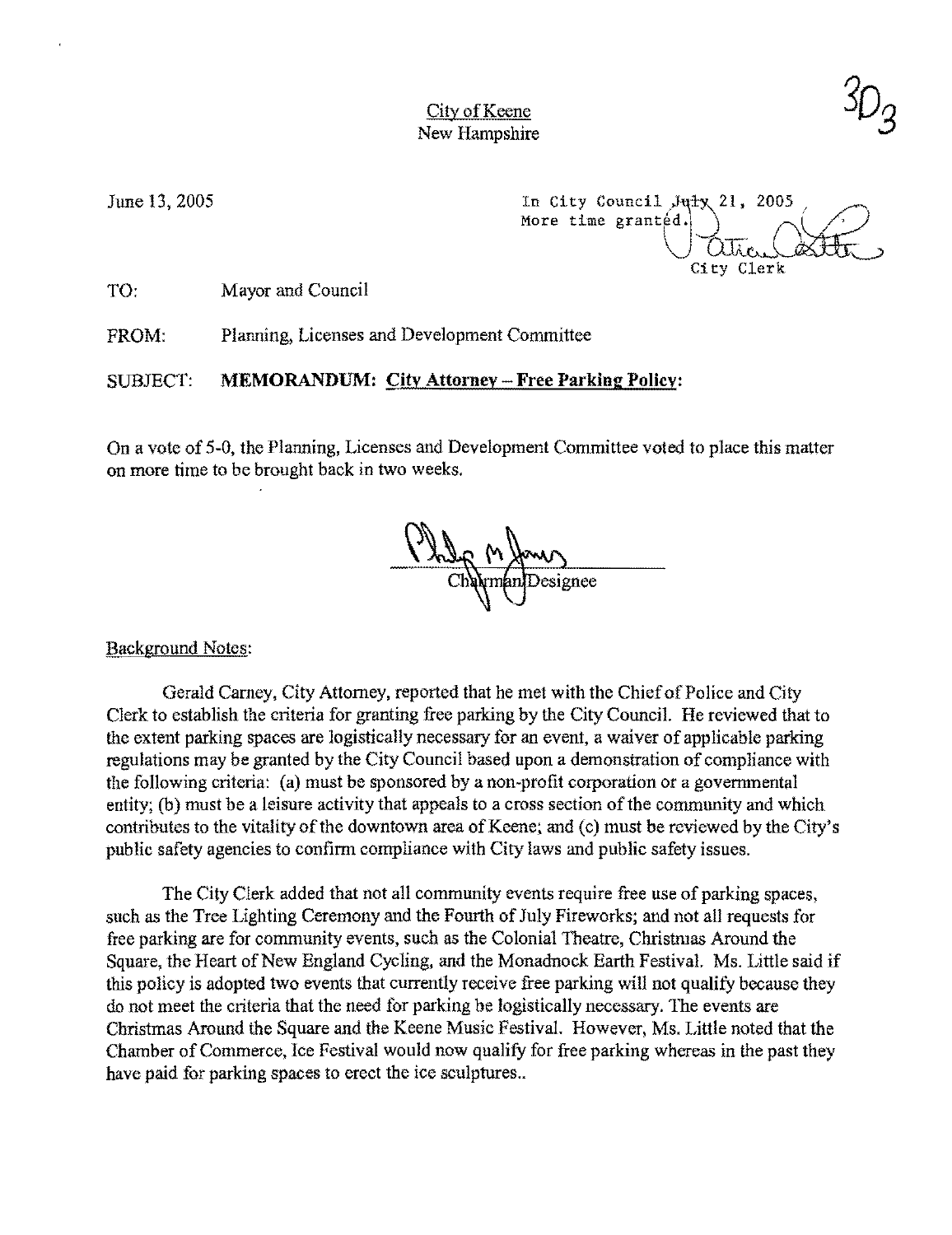June 13, 2005

In City Council  $J$ uty 21, 2005 More time granted. City Clerk

TO: Mayor and Council

FROM: Planning, Licenses and Development Committee

SUBJECT: **MEMORANDUM: City** Attorney - **Free Parking Policy:** 

On a vote of 5-0, the Planning, Licenses and Development Committee voted to place this matter on more time to be brought back in two weeks.

besignee

Background Notes:

Gerald Carney, City Attorney, reported that he met with the Chief of Police and City Clerk to establish the criteria for granting free parking by the City Council, He reviewed that to the extent parking spaces are logistically necessary for an event, a waiver of applicable parking regulations may be granted by the City Council based upon a demonstration of compliance with the following criteria: (a) must be sponsored by a non-profit corporation or a governmental entity; (b) must be a leisure activity that appeals to a cross section of the community and which contributes to the vitality of the downtown area of Keene; and (c) must be reviewed by the City's public safety agencies to confirm compliance with City laws and public safety issues,

The City Clerk added that not all community events require free use of parking spaces, such as the Tree Lighting Ceremony and the Fourth of July Fireworks; and not all requests for free parking are for community events, such as the Colonial Theatre, Christmas Around the Square, the Heart of New England Cycling, and the Monadnock Earth Festival. Ms. Little said if this policy is adopted two events that currently receive free parking will not qualify because they do not meet the criteria that the need for parking be logistically necessary. The events are Christmas Around the Square and the Keene Music Festival. However, Ms. Little noted that the Chamber of Commerce, Ice Festival would now qualify for free parking whereas in the past they have paid for parking spaces to erect the ice sculptures...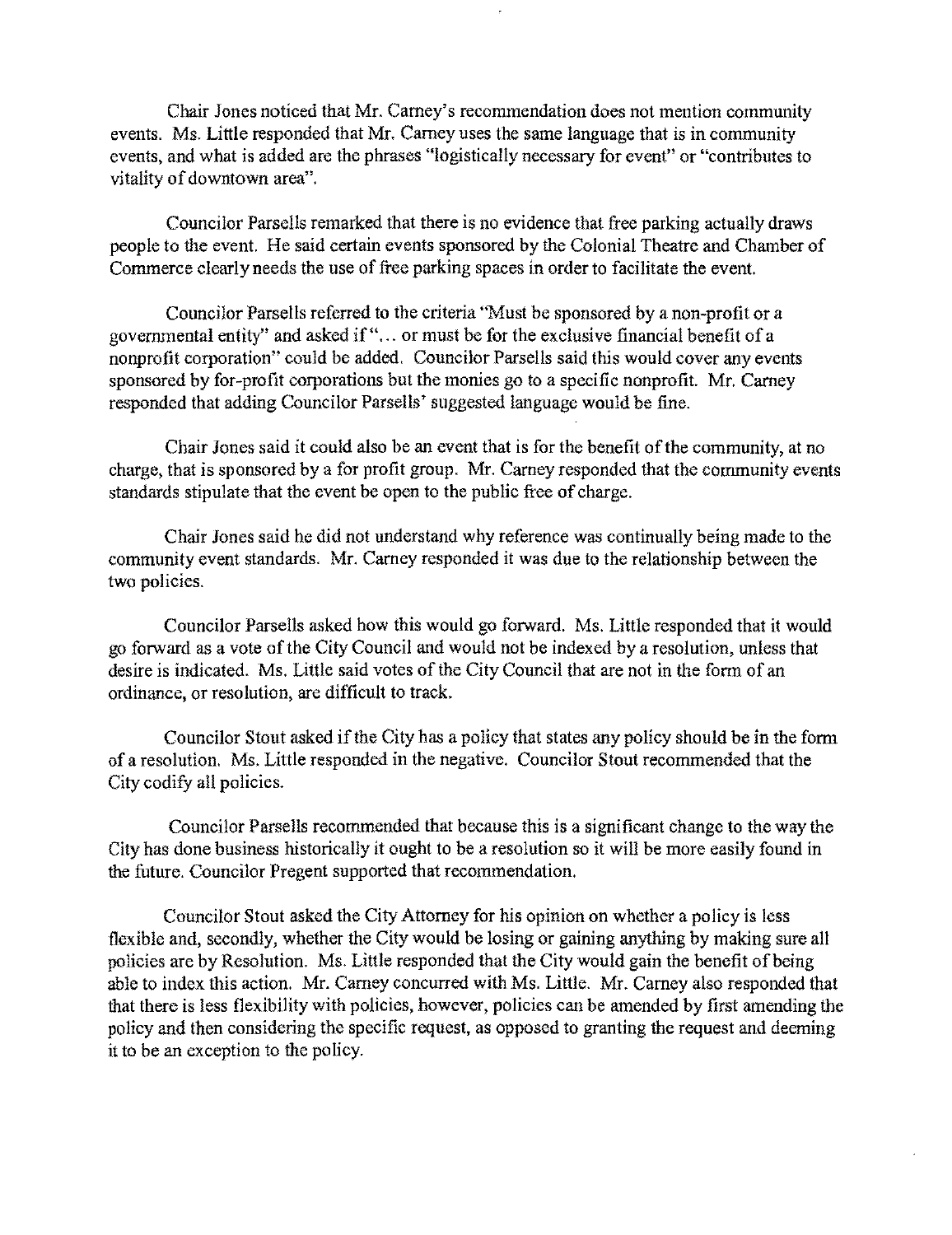Chair Jones noticed that Mr. Carney's recommendation does not mention community events. Ms. Little responded that Mr. Carney uses the same language that is in community events, and what is added are the phrases "logistically necessary for event" or "contributes to vitality of downtown area".

Councilor Parsells remarked that there is no evidence that free parking actually draws people to the event. He said certain events sponsored by the Colonial Theatre and Chamber of Commerce clearly needs the use of free parking spaces in order to facilitate the event.

Councilor Parsells referred to the criteria "Must be sponsored by a non-profit or a governmental entity" and asked if" ... or must be for tbe exclusive financial benefit of a nonprofit corporation" could be added. Councilor Parsells said this would cover any events sponsored by for-profit corporations but the monies go to a specific nonprofit. Mr. Carney responded that adding Councilor Parsells' suggested language would be fine.

Chair Jones said it could also be an event that is for the benefit of the community, at no charge, that is sponsored by a for profit group. Mr. Camey responded that the community events standards stipulate that the event be open to the public free of charge.

Chair Jones said he did not understand why reference was continually being made to the community event standards. Mr. Camey responded it was due to the relationship between the two policies.

Councilor Parsells asked how this would go forward. Ms. Little responded that it would go forward as a vote of the City Council and would not be indexed by a resolution, unless that desire is indicated. Ms. Little said votes of the City Council that are not in the form of an ordinance, or resolution, are difficult to track.

Councilor Stout asked if the City has a policy that states any policy should be in the form of a resolution. Ms. Little responded in the negative. Councilor Stout recommended that the City codify all policies.

Councilor Parsells recommended that because this is a significant change to the way the City has done business historically it ought to be a resolution so it will be more easily found in the future. Councilor Pregent supported that recommendation.

Councilor Stout asked the City Attorney for his opinion on whether a policy is less flexible and, secondly, whether the City would be losing or gaining anything by making sure all policies are by Resolution. Ms. Little responded that the City would gain the benefit of being able to index this action. Mr. Carney concurred with Ms. Little. Mr. Carney also responded that that there is less flexibility with policies, however, policies can be amended by first amending the policy and then considering the specific request, as opposed to granting the request and deeming it to be an exception to the policy.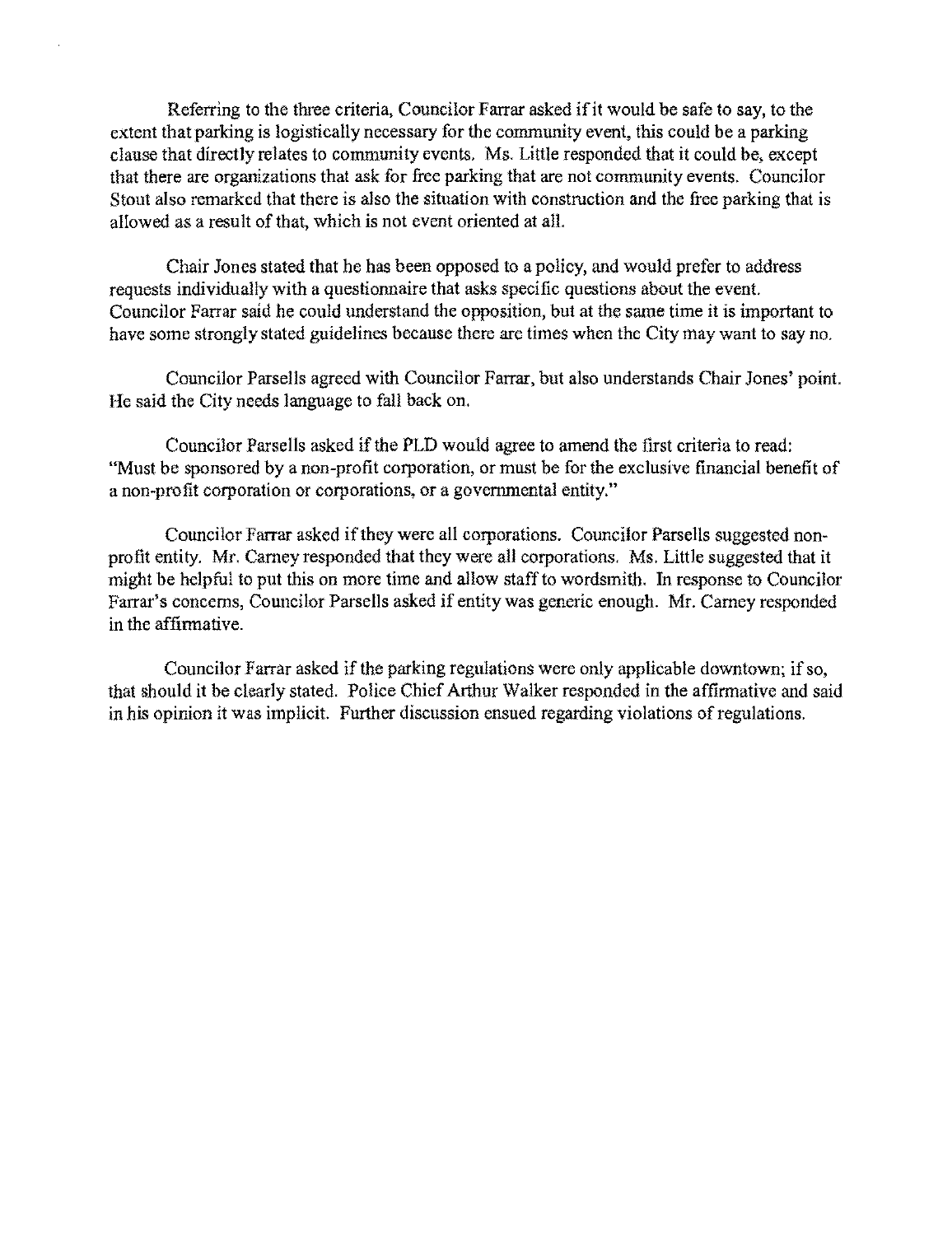Referring to the three criteria, Councilor Farrar asked if it would be safe to say, to the extent that parking is logistically necessary for the community event, this could be a parking clause that directly relates to community events. Ms. Little responded that it could be, except that there are organizations that ask for free parking that are not community events. Councilor Stout also remarked that there is also the situation with construction and the free parking that is allowed as a result of that, which is not event oriented at all.

Chair Jones stated that he has been opposed to a policy, and would prefer to address requests individually with a questionnaire that asks specific questions about the event. Councilor Farrar said he could understand the opposition, but at the same time it is important to have some strongly stated guidelines because there are times when the City may want to say no.

Councilor Parsells agreed with Councilor Farrar, but also understands Chair Jones' point. He said the City needs language to fall back on.

Councilor Parsells asked if the PLD would agree to amend the first criteria to read: "Must be sponsored by a non-profit corporation, or must be for the exclusive financial benefit of a non-profit corporation or corporations, or a governmental entity."

Councilor Farrar asked if they were all corporations. Councilor Parsells suggested nonprofit entity. Mr. Carney responded that they were all corporations. Ms. Little suggested that it might be helpful to put this on more time and allow staff to wordsmith. In response to Councilor Farrar's concerns, Councilor Parsells asked if entity was generic enough. Mr. Carney responded in the affinnative.

Councilor Farrar asked if the parking regulations were only applicable downtown; if so, that should it be clearly stated. Police Chief Arthur Walker responded in the affirmative and said in his opinion it was implicit. Further discussion ensued regarding violations of regulations.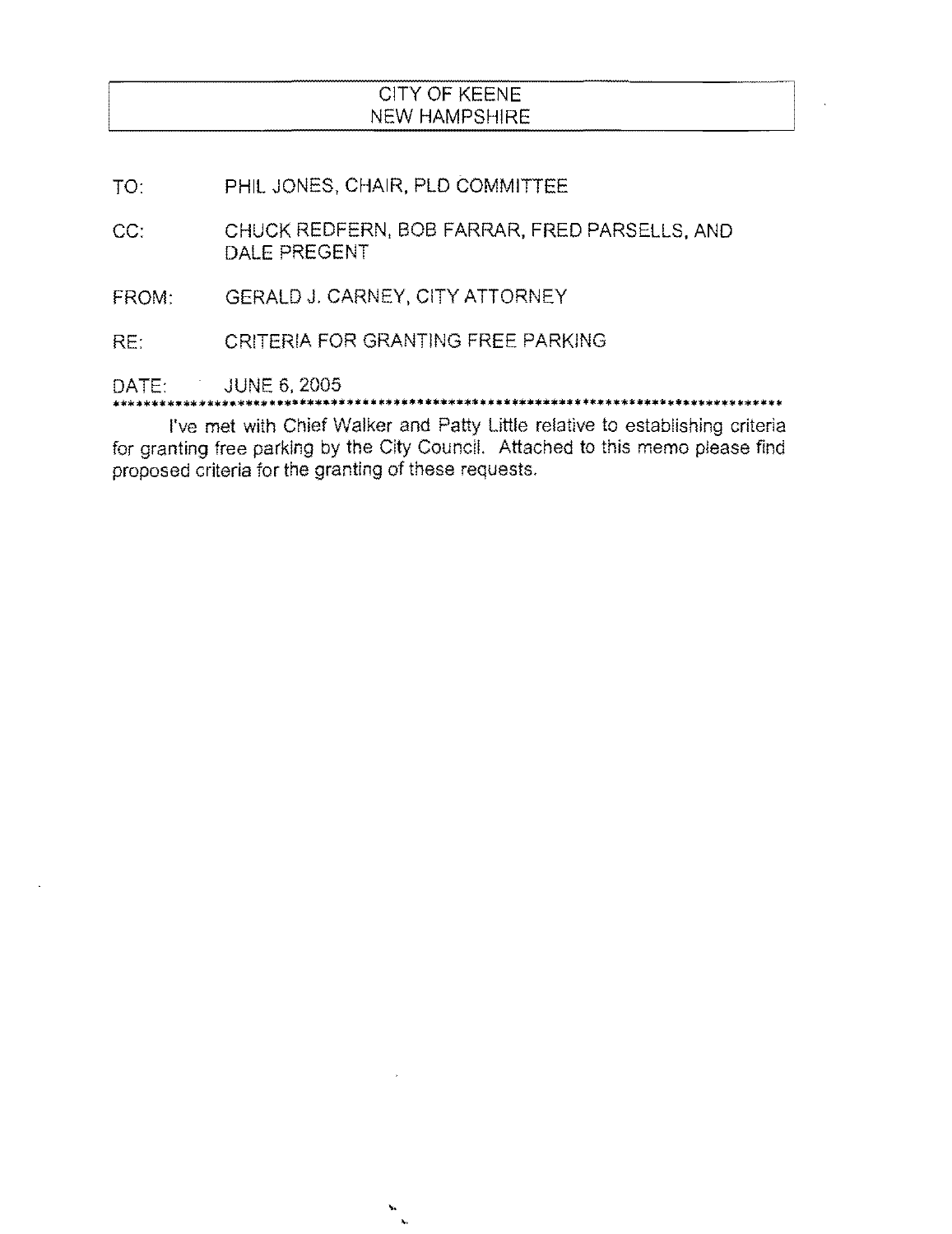# CITY OF KEENE NEW HAMPSHIRE

- TO: PHIL JONES, CHAIR, PLD COMMITTEE
- CC: CHUCK REDFERN, BOB FARRAR, FRED PARSELLS, AND DALE PREGENT
- FROM: GERALD J. CARNEY, CITY ATTORNEY
- RE: CRITERIA FOR GRANTING FREE PARKING

DATE: JUNE 6, 2005

I've met with Chief Walker and Patty little relative to establishing criteria for granting free parking by the City Council. Attached to this memo please find

ن<br>نو نو

proposed criteria for the granting of these requests.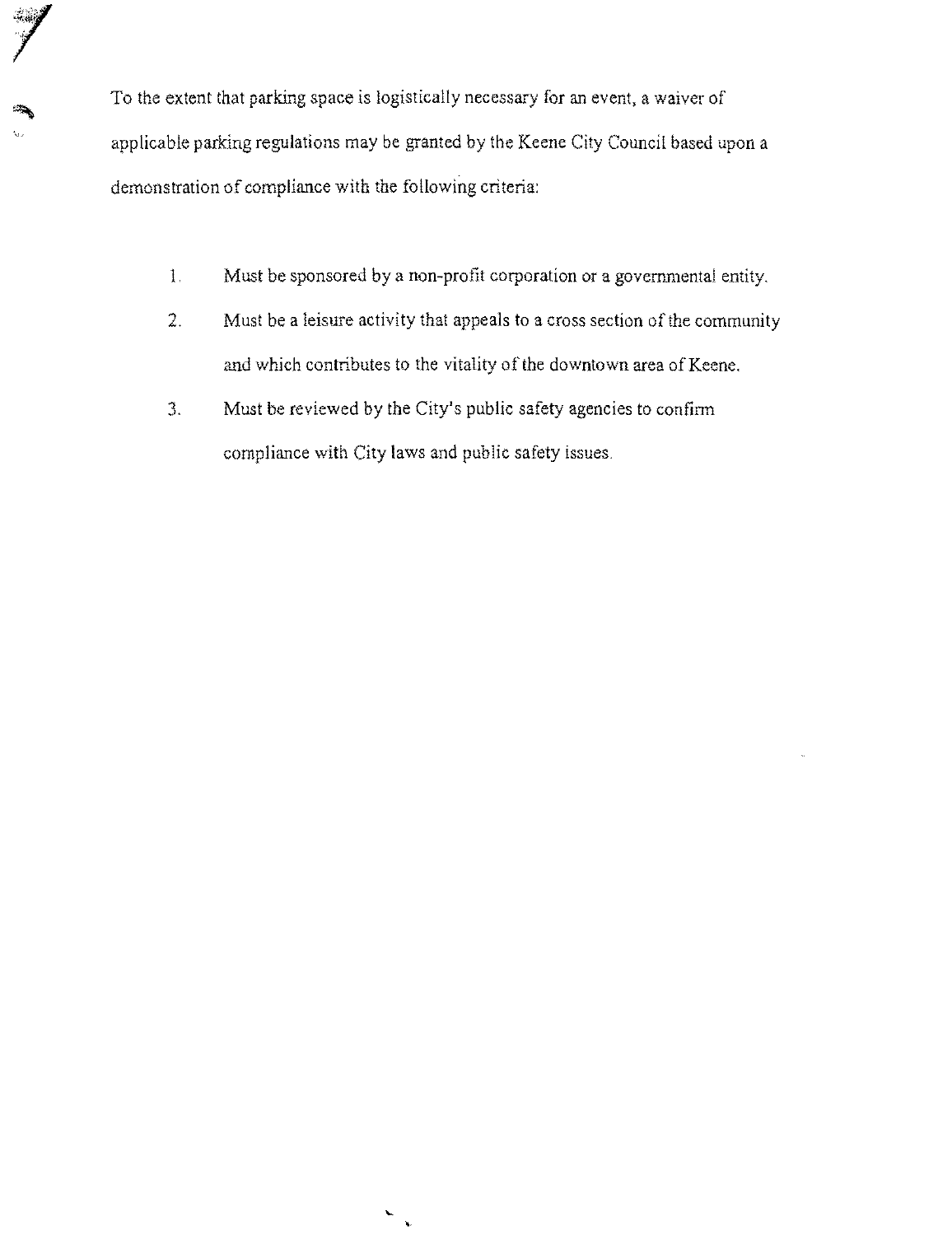To the extent that parking space is logistically necessary for an event, a waiver of applicable parking regulations may be granted by the Keene City Council based upon a demonstration of compliance with the following criteria:

- 1, Must be sponsored by a non-profit corporation or a governmental entity.
- 2. Must be a leisure activity that appeals to a cross section of the community and which contributes to the vitality of the downtown area of Keene.
- 3. Must be reviewed by the City's public safety agencies to confinn compliance with City laws and public safety issues,

 $\blacktriangleright$  $\tilde{\mathbf{y}}$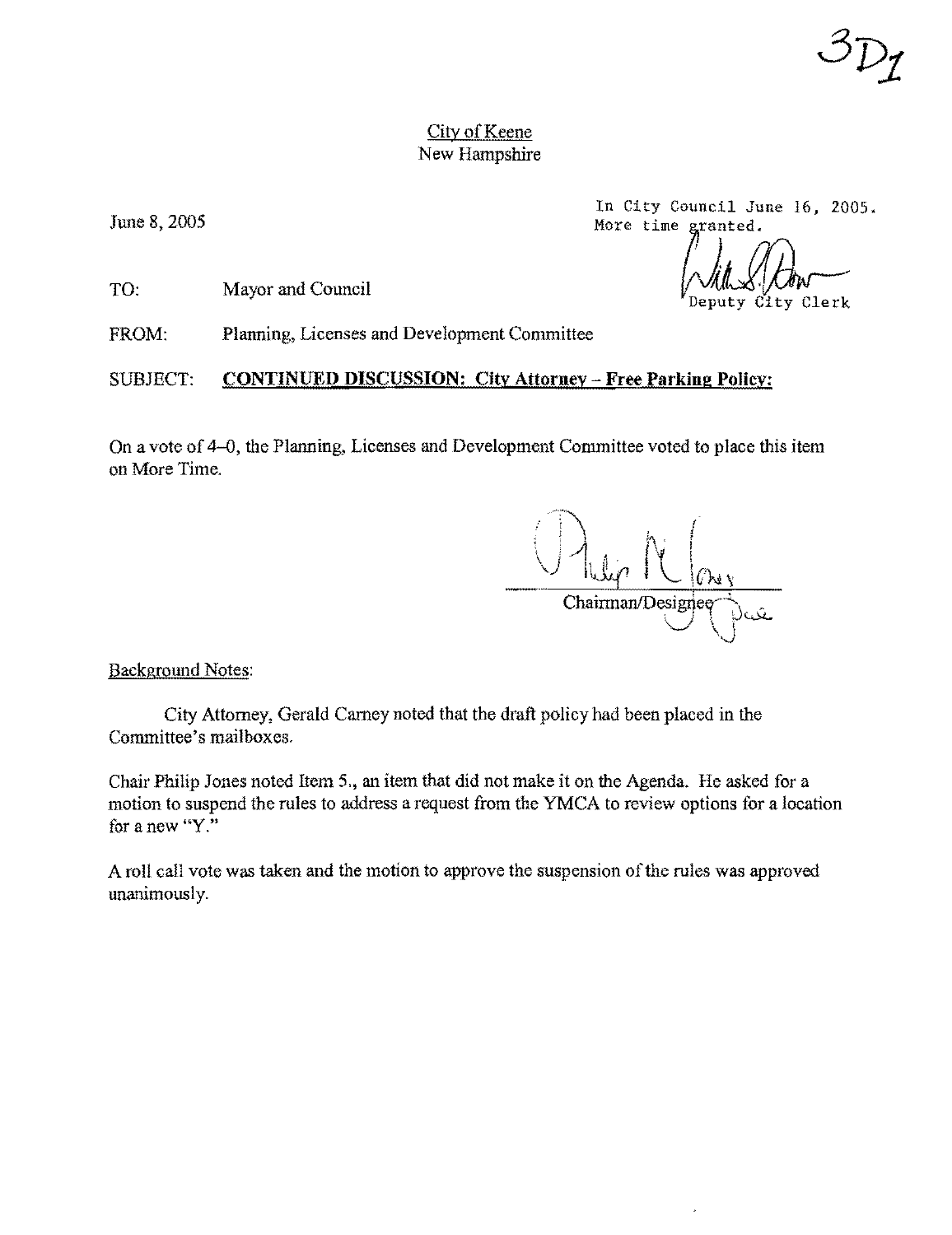June 8, 2005

TO: Mayor and Council

FROM: Planning, Licenses and Development Committee

## SUBJECT: **CONTINUED DISCUSSION; City Attorney - Free Parking Policy:**

On a vote of 4-0, the Planning, Licenses and Development Committee voted to place this item on More Time.

Chairman/Designee

Background Notes:

City Attorney, Gerald Camey noted that the draft policy had been placed in the Committee's mailboxes.

Chair Philip Jones noted Item 5., an item that did not make it on the Agenda. He asked for a motion to suspend the rules to address a request from the YMCA to review options for a location for a new "Y."

A roll call vote was taken and the motion to approve the suspension of the rules was approved unanimously.

In City Council June 16, 2005.<br>More time granted. In City Council June 16, 2005.<br>More time granted.

City Clerk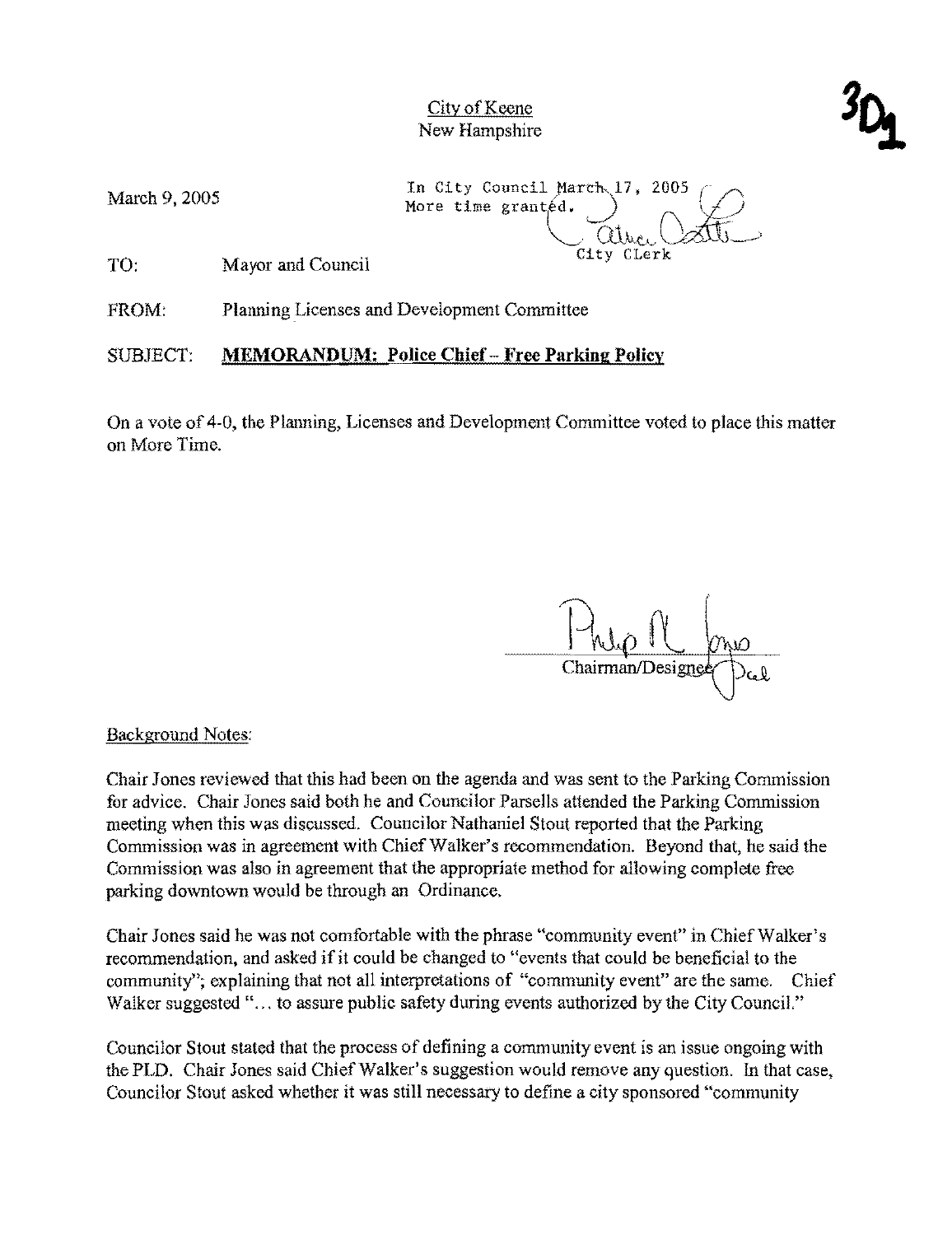Mareh 9, 2005

More time granted. In City Council March 17, 2005 City Clerk

TO: Mayor and Couneil

FROM: Planning Licenses and Development Committee

SUBJECT: **MEMORANDUM: Police Chief - Free Parking Policy** 

On a vote of 4-0, the Planning, Licenses and Development Committee voted to place this matter on More Time.

 $\frac{1-\mu_{0}R}{2\pi}$  $C$ maninan/Designed  $D^{C}b$ 

Background Notes:

Chair Jones reviewed that this had been on the agenda and was sent to the Parking Commission for advice. Chair Jones said both he and Councilor Parsells attended the Parking Commission meeting when this was discussed. Councilor Nathaniel Stout reported that the Parking Commission was in agreement with Chief Walker's recommendation. Beyond that, he said the Commission was also in agreement that the appropriate method for allowing complete free parking downtown would be through an Ordinance.

Chair Jones said he was not comfortable with the phrase "community event" in Chief Walker's recommendation, and asked if it could be changed to "events that could be beneficial to the community"; explaining that not ail interpretations of "community event" are the same. Chief Walker suggested "... to assure public safety during events authorized by the City Council."

Councilor Stout stated that the process of defining a community event is an issue ongoing with the PLD. Chair Jones said Chief Walker's suggestion would remove any question. In that case, Councilor Stout asked whether it was still necessary to define a city sponsored "community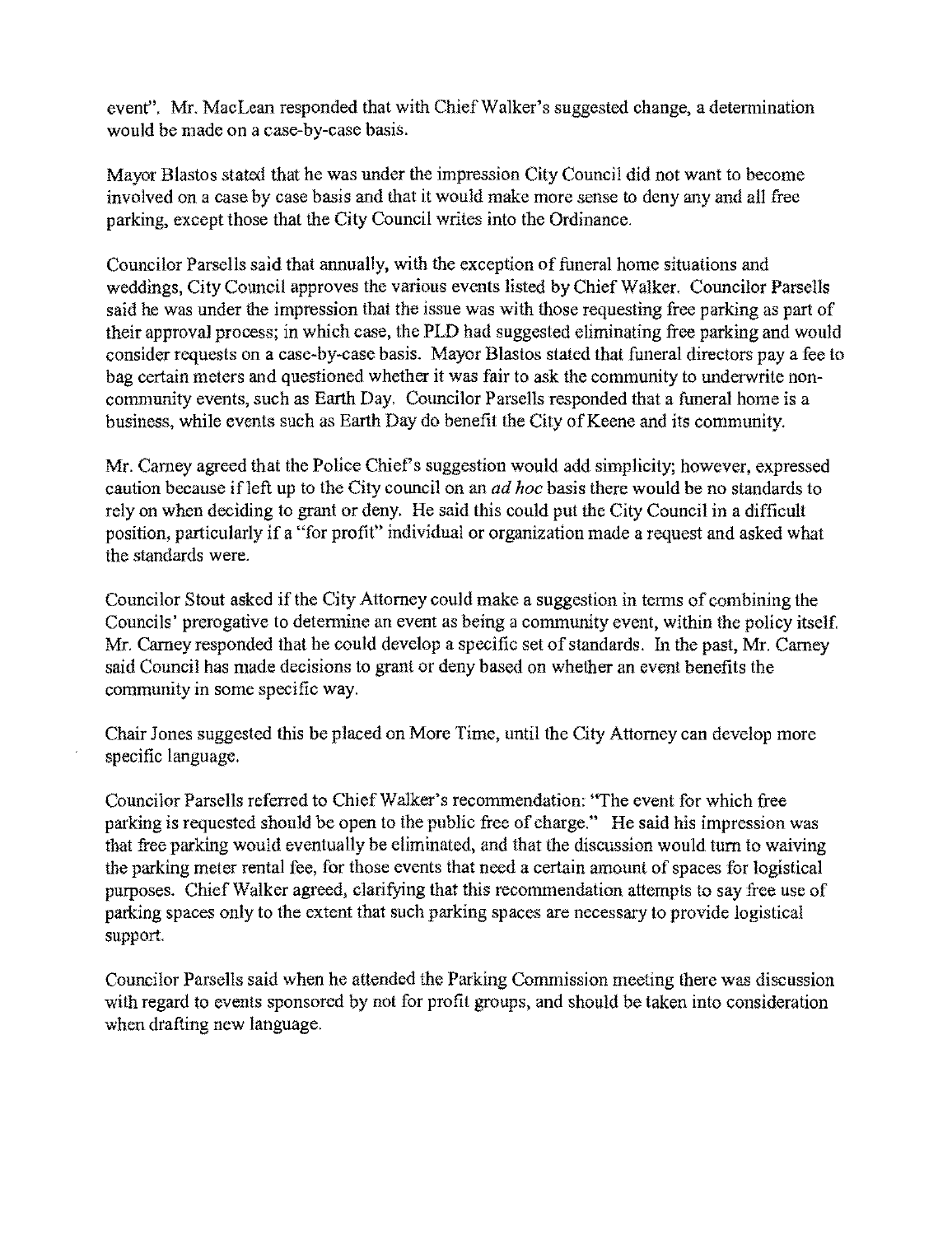event". Mr. MacLean responded that with Chief Walker's suggested change, a determination would be made on a case-by-case basis.

Mayor Blastos stated that he was under the impression City Council did not want to become involved on a case by case basis and that it would make more sense to deny any and all free parking, except those that the City Council writes into the Ordinance.

Councilor Parsells said that annually, with the exception of funeral home situations and weddings, City Council approves the various events listed by Chief Walker. Councilor Parsells said he was under the impression that the issue was with those requesting free parking as part of their approval process; in which case, the PLD had suggested eliminating free parking and would consider requests on a case-by-case basis. Mayor Blastos stated that funeral directors pay a fee to bag eertain meters and questioned whether it was fair to ask the community to underwrite noncommunity events, such as Earth Day. Councilor Parsells responded that a funeral home is a business, while events such as Earth Day do benefit the City of Keene and its community.

Mr. Carney agreed that the Police Chief's suggestion would add simplicity; however, expressed caution because ifleft up to the City council on an *ad hoc* basis there would be no standards to rely on when deciding to grant or deny. He said this could put the City Council in a difficult position, particularly if a "for profit" individual or organization made a request and asked what the standards were.

Councilor Stout asked if the City Attorney could make a suggestion in tenns of combining the Councils' prerogative to detennine an event as being a community event, within the policy itself. Mr. Carney responded that he could develop a specific set of standards. In the past, Mr. Carney said Council has made decisions to grant or deny based on whether an event benefits the community in some specific way.

Chair Jones suggested this be placed on More Time, until the City Attorney can develop more specific language.

Councilor Parsells referred to Chief Walker's recommendation: ''The event for which free parking is requested should be open to the public free of charge." He said his impression was that free parking would eventually be eliminated, and that the discussion would turn to waiving the parking meter rental fee, for those events that need a certain amount of spaces for logistical purposes. Chief Walker agreed, clarifying that this recommendation attempts to say free use of parking spaces only to the extent that such parking spaces are necessary to provide logistical support.

Councilor Parsells said when he attended the Parking Commission meeting there was discussion with regard to events sponsored by not for profit groups, and should be taken into consideration when drafting new language.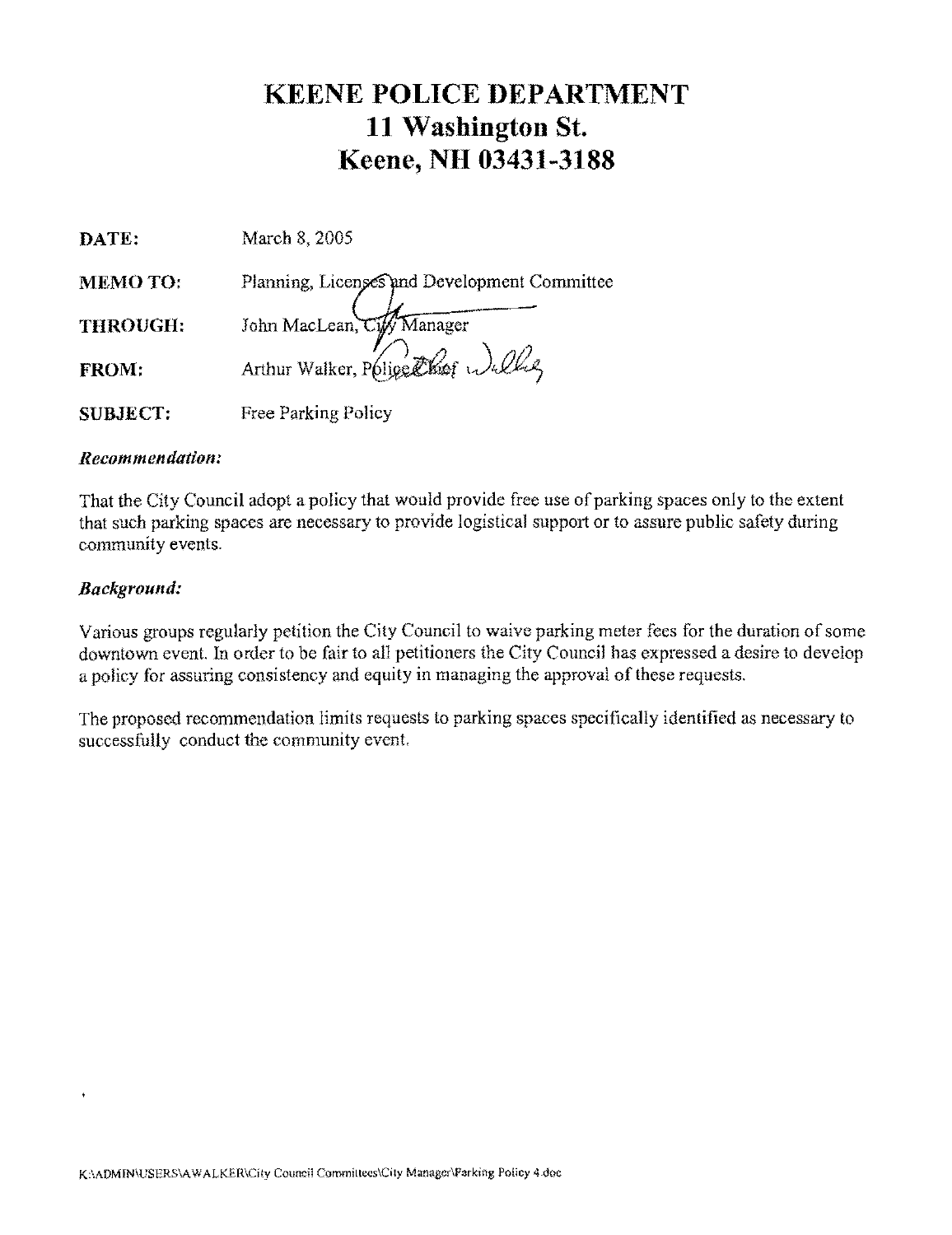# **KEENE POLICE DEPARTMENT 11 Washington St. Keene, NH 03431-3188**

| DATE:           | March 8, 2005                                |
|-----------------|----------------------------------------------|
| <b>MEMOTO:</b>  | Planning, Licenses and Development Committee |
| <b>THROUGH:</b> | John MacLean, Cify Manager                   |
| FROM:           | Arthur Walker, Police Theor Walke            |
| <b>SUBJECT:</b> | <b>Free Parking Policy</b>                   |

#### *Recommendation:*

That the City Council adopt a policy that would provide free use of parking spaces only to the extent that such parking spaces are necessary to provide logistical support or to assure public safety during community events.

#### *Background:*

 $\ddot{\phantom{1}}$ 

Various groups regularly petition the City Council to waive parking meter fees for the duration of some downtown event. In order to be fair to all petitioners the City Council has expressed a desire to develop a policy for assuring eonsistency and equity in managing the approval of these requests.

The proposed recommendation limits requests to parking spaces specifically identified as necessary to successfully conduct the community event.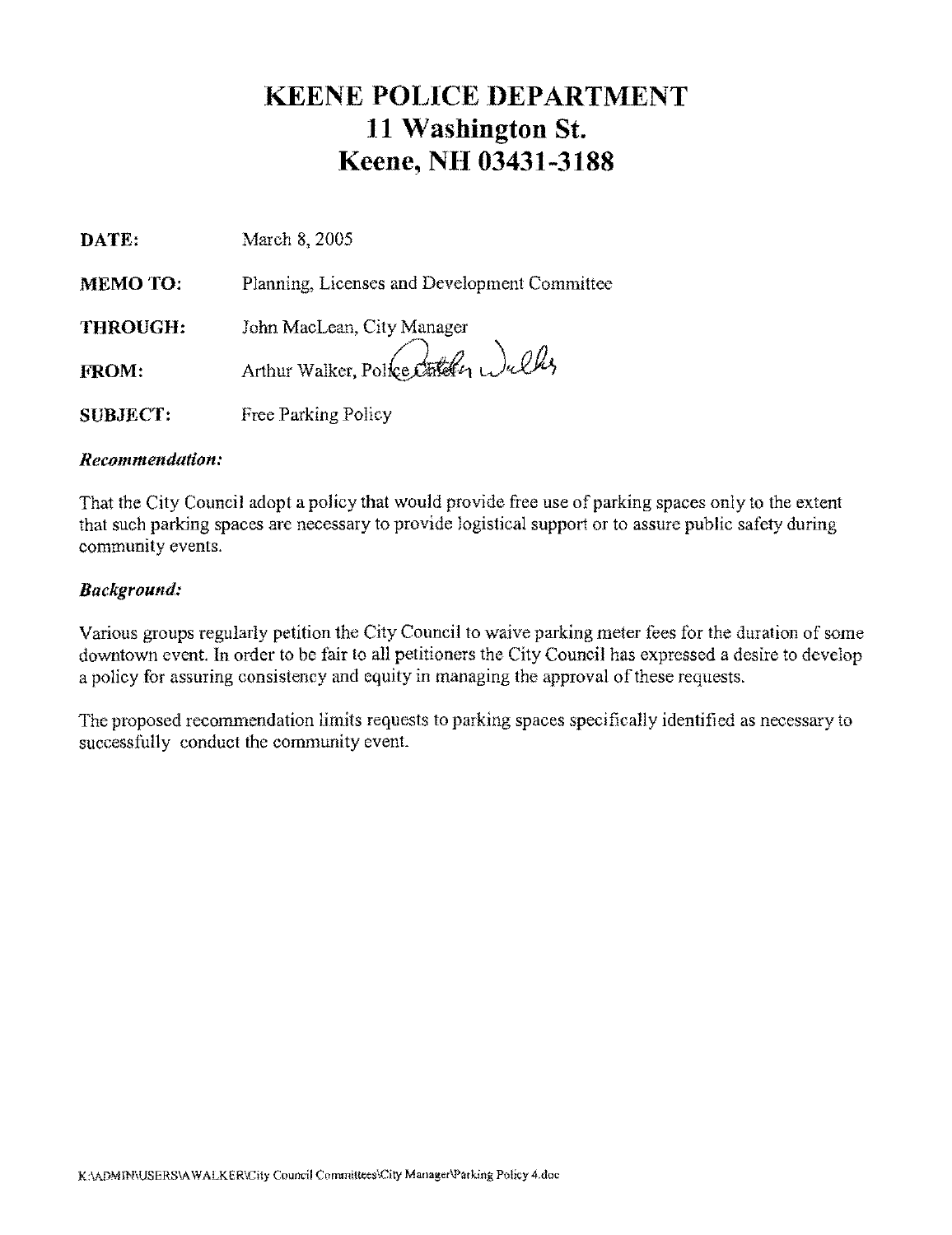# **KEENE POLICE DEPARTMENT 11 Washington St. Keene, NH 03431-3188**

| DATE:           | March 8, 2005                                |
|-----------------|----------------------------------------------|
| <b>MEMO TO:</b> | Planning, Licenses and Development Committee |
| THROUGH:        | John MacLean, City Manager                   |
| <b>FROM:</b>    | Arthur Walker, Police Other Wulky            |
| <b>SUBJECT:</b> | Free Parking Policy                          |

#### *Recommendation:*

That the City Council adopt a policy that would provide free use of parking spaces only to the extent that such parking spaces are necessary to provide logistical support or to assure public safety during community events.

#### *Background:*

Various groups regularly petition the City Council to waive parking meter fees for the duration of some downtown event. In order to be fair to all petitioners the City Council has expressed a desire to develop a policy for assuring consistency and equity in managing the approval of these requests.

The proposed recommendation limits requests to parking spaces specifically identified as necessary to successfully conduct the community event.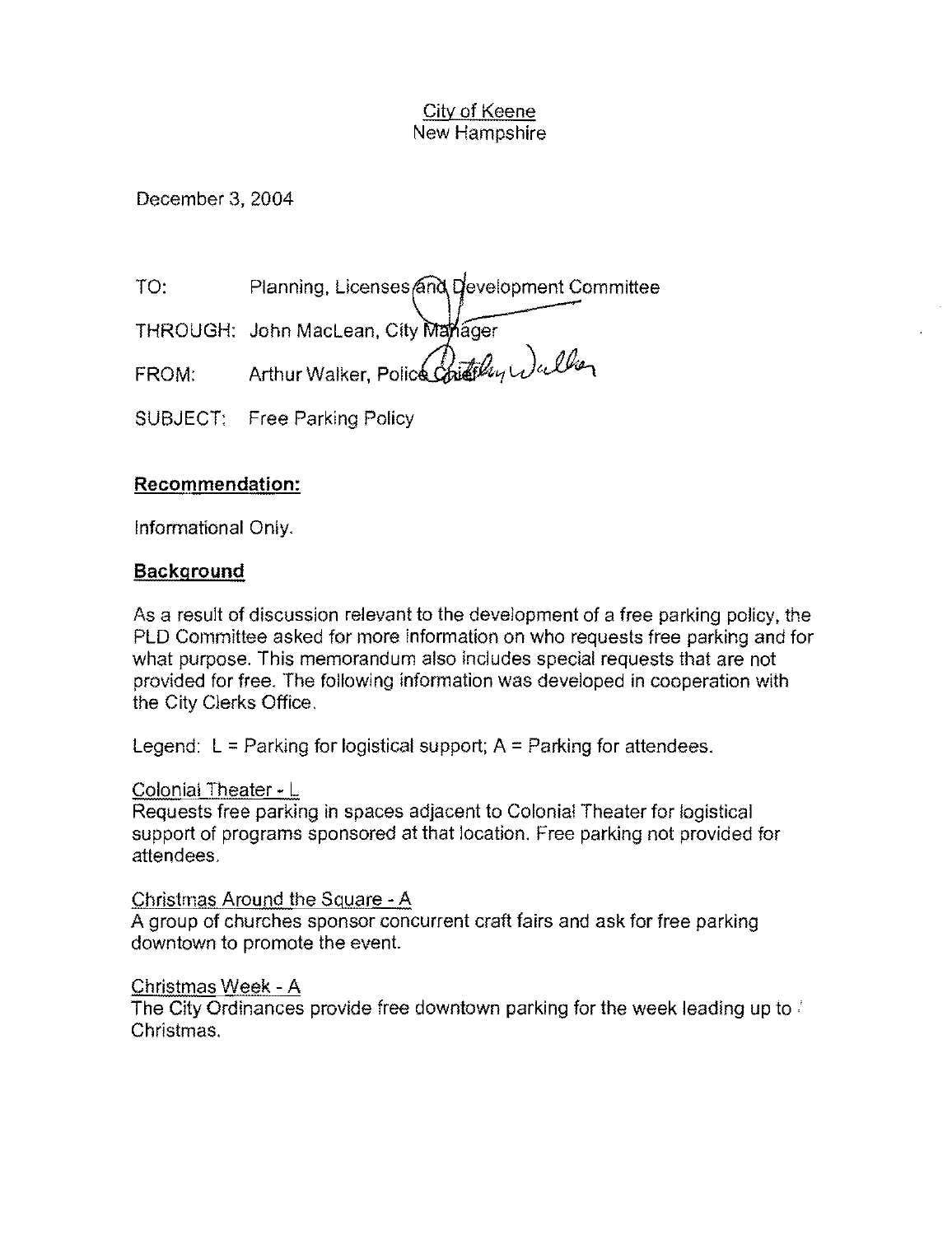December 3, 2004

TO: Planning, Licenses and Development Committee

THROUGH: John MacLean, City Manager

FROM: Arthur Walker, Police Chiles Angle Che

SUBJECT: Free Parking Policy

# **Recommendation:**

Informational Only.

# **Background**

As a result of discussion relevant to the development of a free parking policy, the PlD Committee asked for more information on who requests free parking and for what purpose. This memorandum also includes special requests that are not provided for free. The following information was developed in cooperation with the City Clerks Office.

Legend:  $L =$  Parking for logistical support;  $A =$  Parking for attendees.

# Colonial Theater - L

Requests free parking in spaces adjacent to Colonial Theater for logistical support of programs sponsored at that location. Free parking not provided for attendees.

# Christmas Around the Square - A

A group of churches sponsor concurrent craft fairs and ask for free parking downtown to promote the event.

# Christmas Week - A

The City Ordinances provide free downtown parking for the week leading up to  $\ell$ Christmas.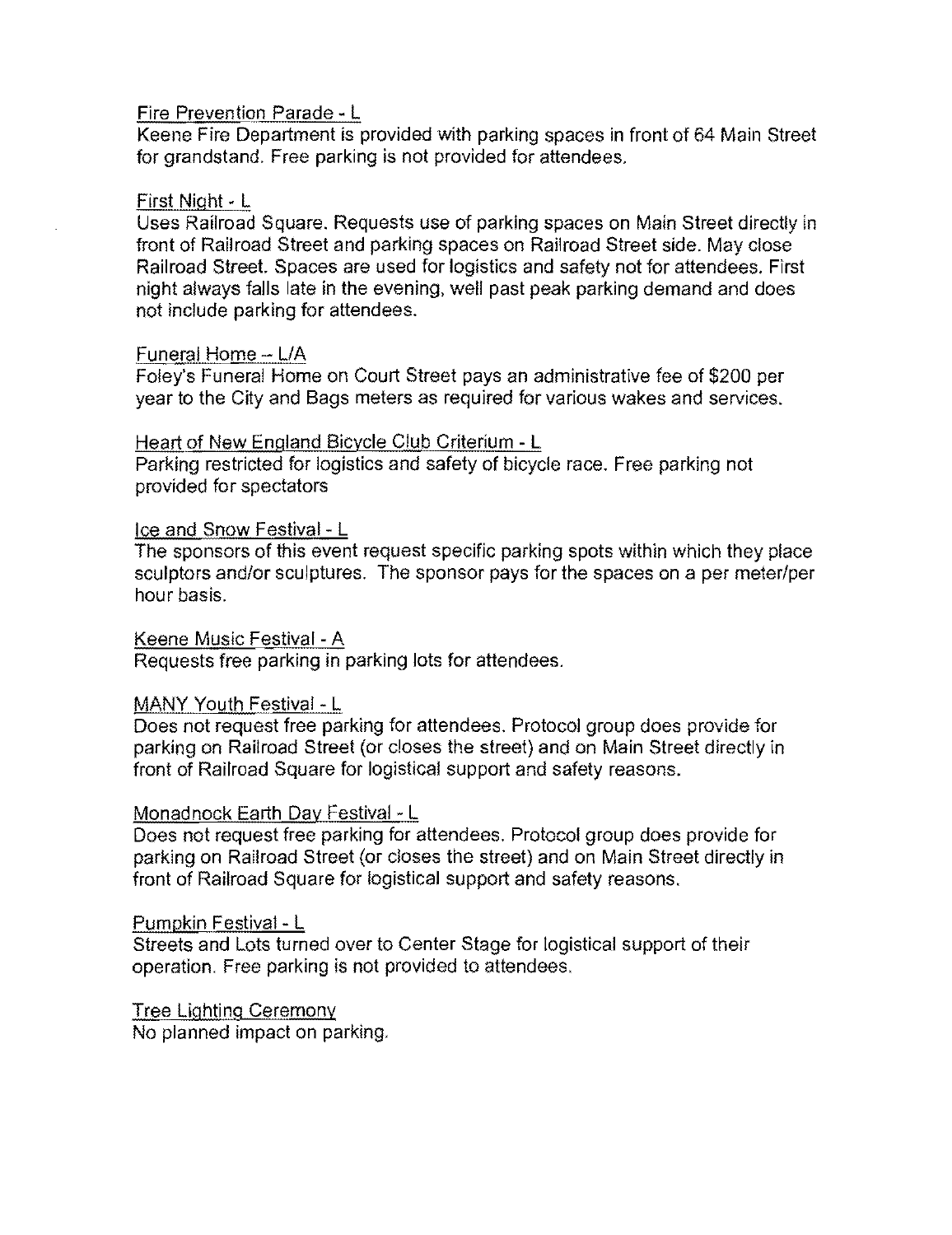#### Fire Prevention Parade· L

Keene Fire Department is provided with parking spaces in front of 64 Main Street for grandstand. Free parking is not provided for attendees.

#### First Night· L

Uses Railroad Square. Requests use of parking spaces on Main Street directly in front of Railroad Street and parking spaces on Railroad Street side. May close Railroad Street. Spaces are used for logistics and safety not for attendees. First night always falls late in the evening, well past peak parking demand and does not include parking for attendees.

#### Funeral Home - L/A

Foley's Funeral Home on Court Street pays an administrative fee of \$200 per year to the City and Bags meters as required for various wakes and services.

#### Heartof New England Bicycle Club Criterium - L

Parking restricted for logistics and safety of bicycle race. Free parking not provided for spectators

## Ice and Snow Festival - L

The sponsors of this event request specific parking spots within which they place sculptors and/or sculptures. The sponsor pays for the spaces on a per meter/per hour basis.

## Keene Music Festival - A

Requests free parking in parking lots for attendees.

#### MANY Youth Festival - L

Does not request free parking for attendees. Protocol group does provide for parking on Railroad Street (or closes the street) and on Main Street directly in front of Railroad Square for logistical support and safety reasons.

#### Monadnock Earth Day Festival - L

Does not request free parking for attendees. Protocol group does provide for parking on Railroad Street (or closes the street) and on Main Street directly in front of Railroad Square for logistical support and safety reasons.

#### PumpkinFestival- L

Streets and Lots turned over to Center Stage for logistical support of their operation. Free parking is not provided to attendees.

## Tree Lighting Ceremony

No planned impact on parking.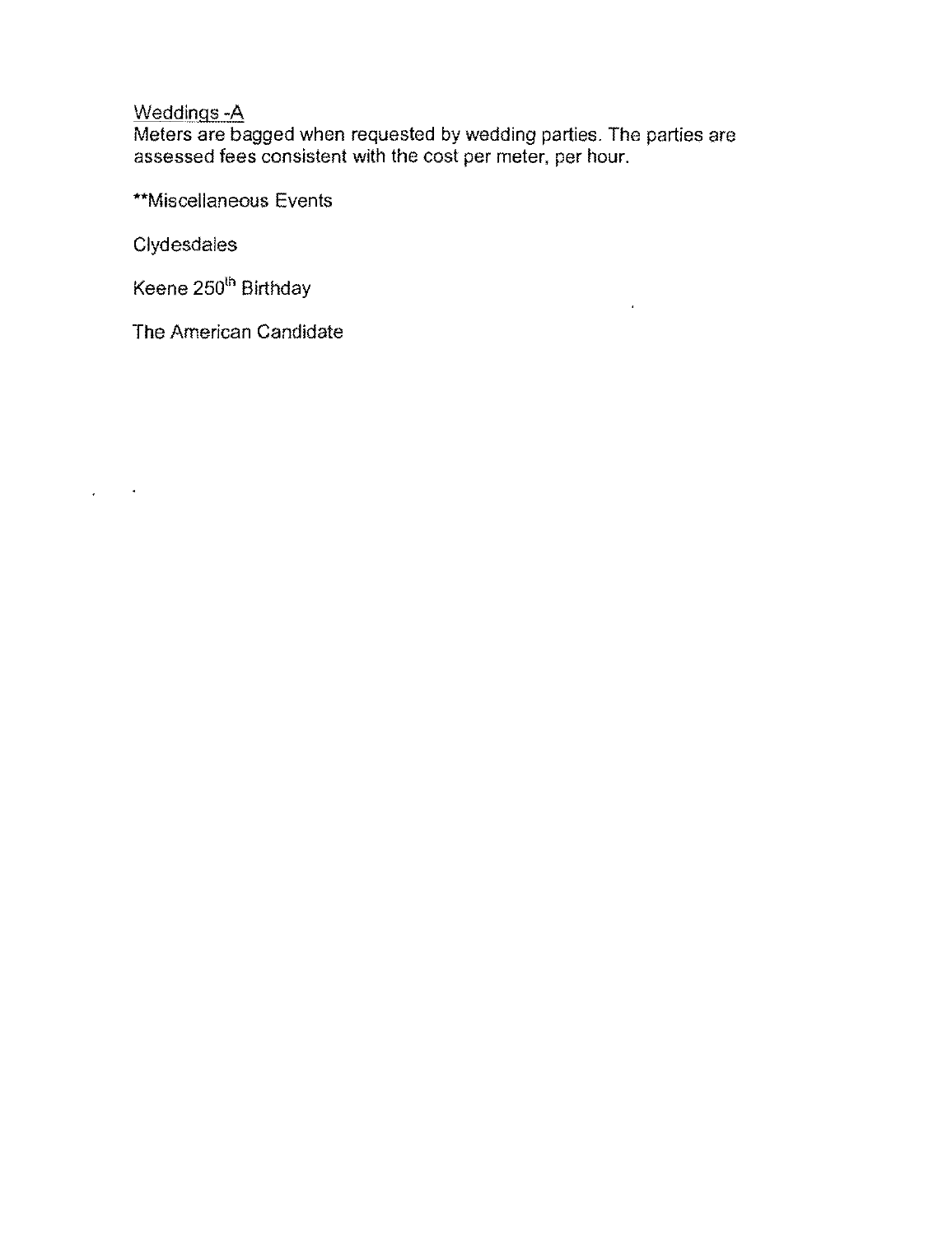# Weddings -A

Meters are bagged when requested by wedding parties. The parties are assessed fees consistent with the cost per meter. per hour.

 $\hat{\mathbf{r}}$ 

\*\*Miscellaneous Events

**Clydesdales** 

 $\Delta \phi = 0.4$  and

Keene 250<sup>th</sup> Birthday

The American Candidate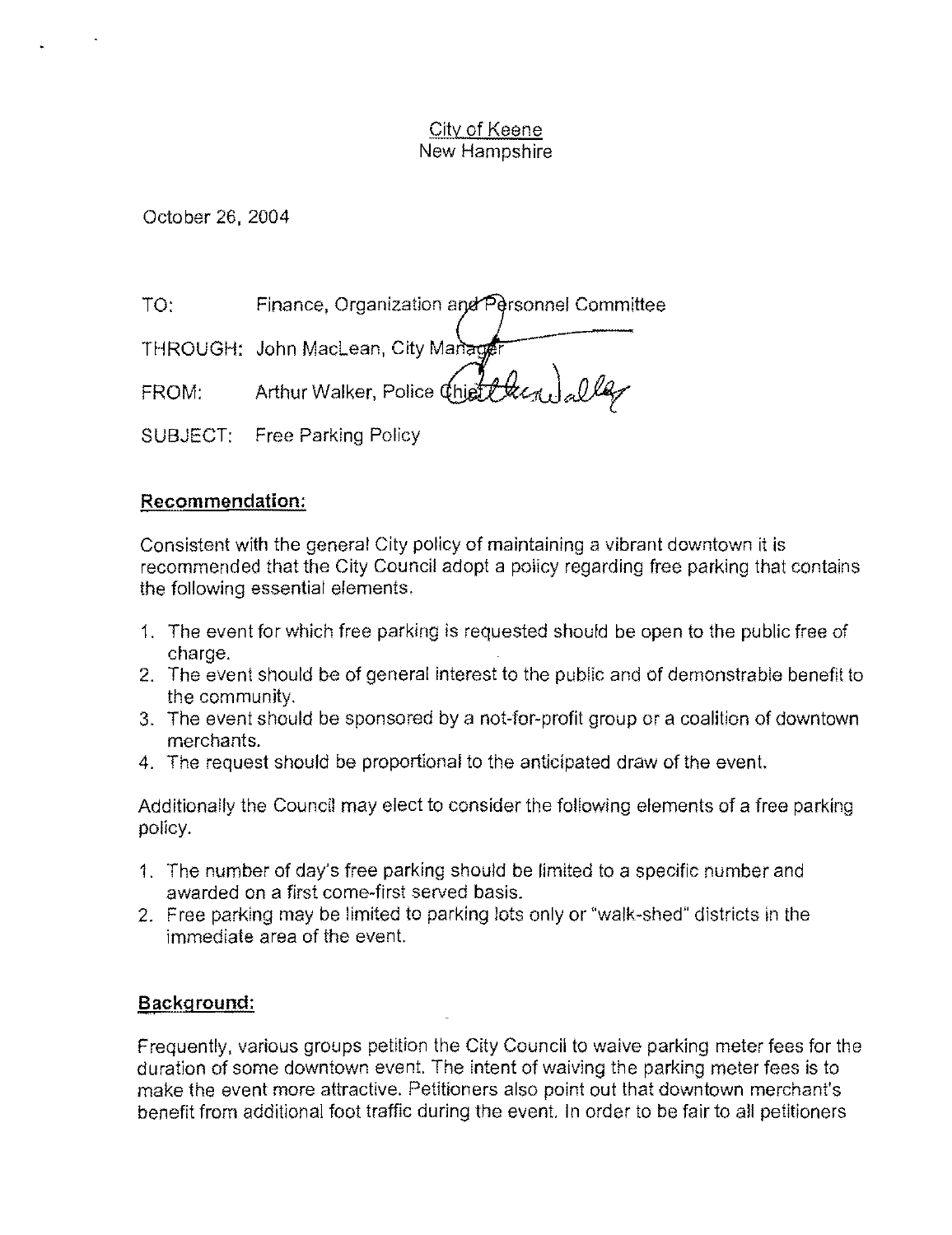October 26. *2004* 

TO: Finance, Organization and Personnel Committee

THROUGH: John MacLean, City Manage  $FROM:$  Arthur Walker, Police  $\overbrace{ \text{Check}}$ 

SUBJECT: Free Parking Policy

# **Recommendation:**

Consistent with the general City policy of maintaining a vibrant downtown it is recommended that the City Council adopt a policy regarding free parking that contains the following essential elements.

- 1. The event for which free parking is requested should be open to the public free of charge.
- 2. The event should be of general interest to the public and of demonstrable benefit to the community.
- 3. The event should be sponsored by a not-for-profit group or a coalition of downtown merchants.
- 4. The request should be proportional to the anticipated draw of the event.

Additionally the Council may elect to consider the following elements of a free parking policy.

- 1. The number of day's free parking should be limited to a specific number and awarded on a first come-first served basis.
- 2. Free parking may be limited to parking lots only or "walk-shed" districts in the immediate area of the event.

# **Background:**

Frequently, various groups petition the City Council to waive parking meter fees for the duration of some downtown event. The intent of waiving the parking meter fees is to make the event more attractive. Petitioners also point out that downtown merchant's benefit from additional foot traffic during the event. In order to be fair to all petitioners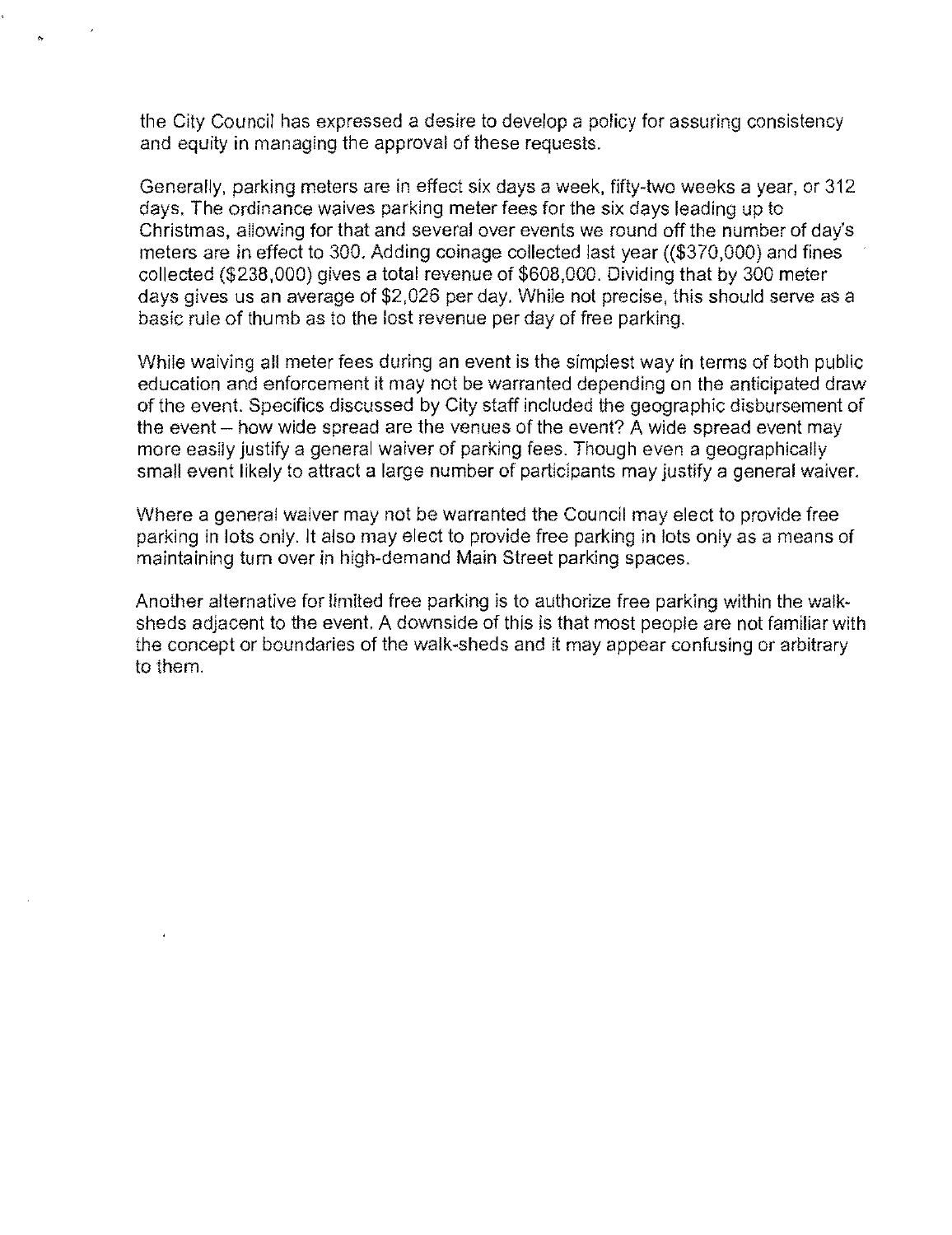the City Council has expressed a desire to develop a policy for assuring consistency and equity in managing the approval of these requests.

Generally, parking meters are in effect six days a week, fifty-two weeks a year, or 312 days. The ordinance waives parking meter fees for the six days leading up to Christmas, allowing for that and several over events we round off the number of day's meters are in effect to 300. Adding coinage collected last year ((\$370,000) and fines collected (\$238,000) gives a total revenue of \$608,000. Dividing that by 300 meter days gives us an average of \$2,026 per day. While not precise, this should serve as a basic rule of thumb as to the lost revenue per day of free parking.

While waiving all meter fees during an event is the simplest way in terms of both public education and enforcement it may not be warranted depending on the anticipated draw of the event. Specifics discussed by City staff included the geographic disbursement of the event - how wide spread are the venues of the event? A wide spread event may more easily justify a general waiver of parking fees. Though even a geographically small event likely to attract a large number of participants may justify a general waiver.

Where a general waiver may not be warranted the Council may elect to provide free parking in lots only. It also may elect to provide free parking in lots only as a means of maintaining tum over in high-demand Main Street parking spaces.

Another alternative for limited free parking is to authorize free parking within the walksheds adjacent to the event. A downside of this is that most people are not familiar with the concept or boundaries of the walk-sheds and it may appear confusing or arbitrary to them.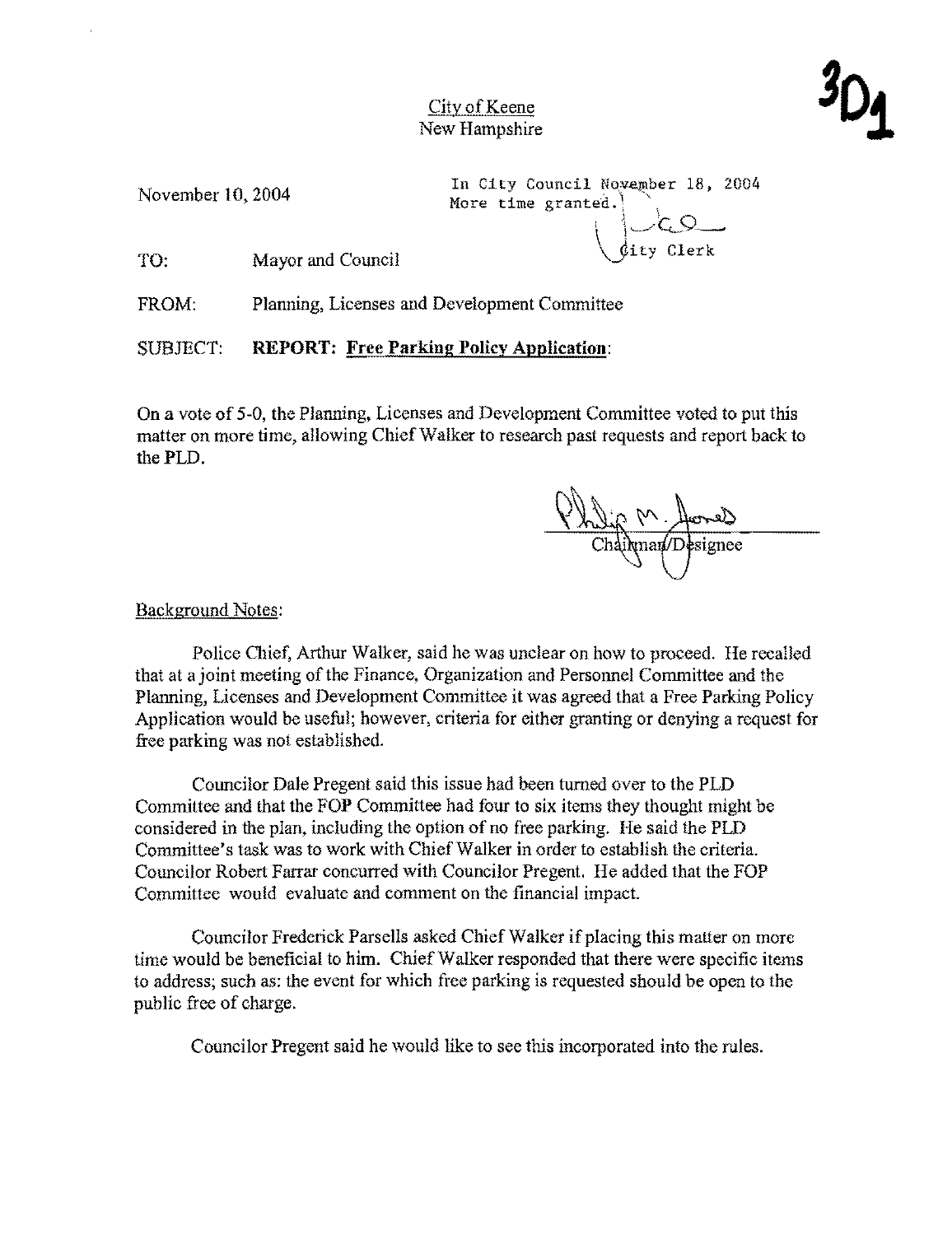

November 10, 2004

In City Council November 18, 2004<br>More time granted.  $\bigcup$ dity Clerk

TO: Mayor and Council

FROM: Planning, Licenses and Development Committee

SUBJECT: **REPORT: Free Parking Policy Application:** 

On a vote of 5-0, the Planning, Licenses and Development Committee voted to put this matter on more time, allowing Chief Walker to research past requests and report back to thePLD.

Chilip M. Acres

## Background Notes:

Police Chief, Arthur Walker, said he was unclear on how to proceed. He recalled that at a joint meeting of the Finance, Organization and Personnel Committee and the Planning, Licenses and Development Committec it was agreed that a Free Parking Policy Application would be useful; however, criteria for either granting or denying a request for free parking was not established.

Councilor Dale Pregent said this issue had been turned over to the PLD Committee and that the FOP Committee had four to six items they thought might be considered in the plan, including the option of no free parking. He said the PLD Committee's task was to work with Chief Walker in order to establish the criteria. Councilor Robert Farrar concurred with Councilor Pregent. He added that the FOP Committee would evaluate and comment on the financial impact.

Councilor Frederick Parsells asked Chief Walker if placing this matter on more time would be beneficial to him. Chief Walker responded that there were specific items to address; such as: the event for which free parking is requested should be open to the public free of charge.

Councilor Pregent said he would like to see this incorporated into the rules.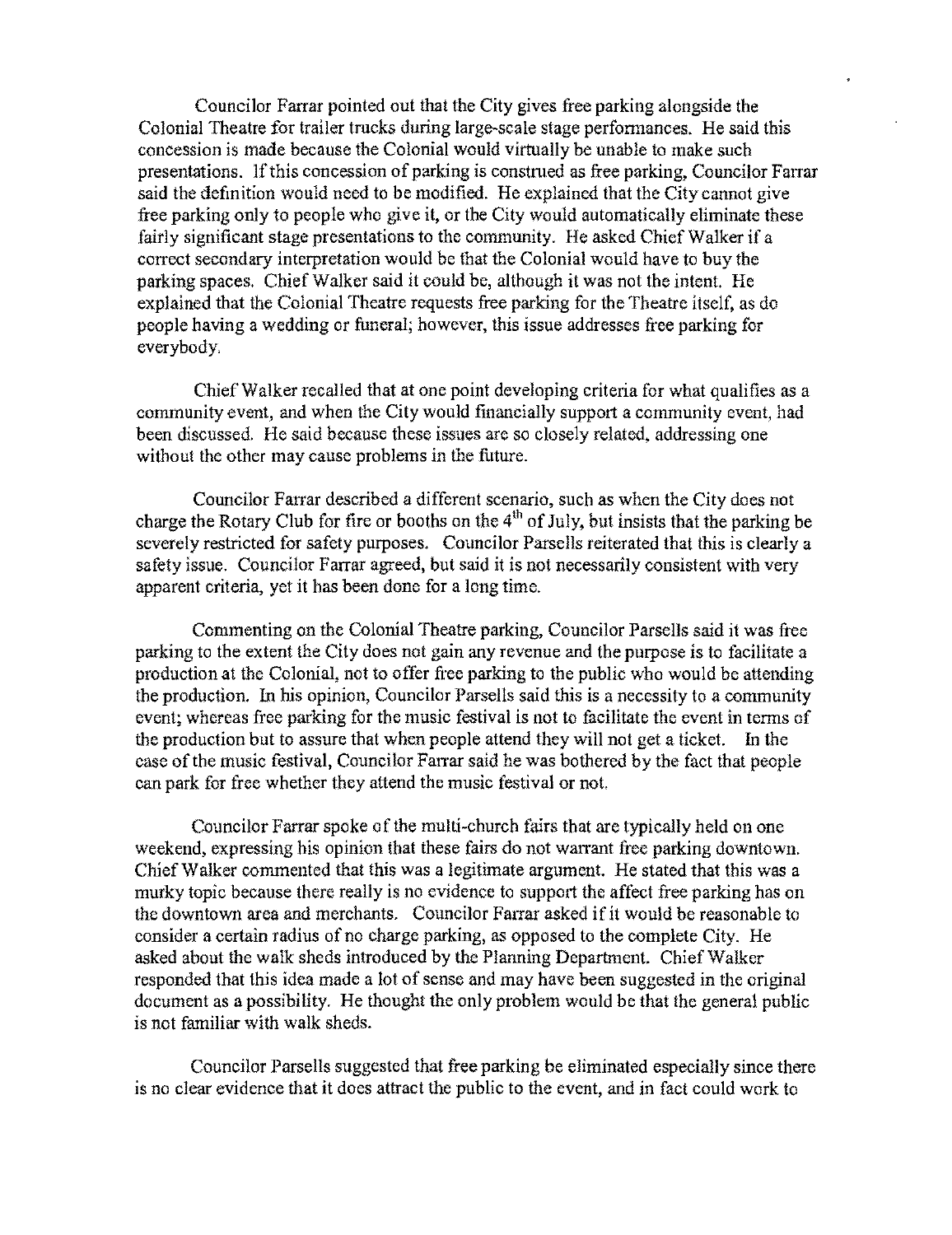Councilor Farrar pointed out that the City gives free parking alongside the Colonial Theatre for trailer trucks during large-scale stage performances. He said this concession is made because the Colonial would virtually be unable to make such presentations. If this concession of parking is construed as free parking, Councilor Farrar said the defmition would need to be modified. He explained that the City cannot give free parking only to people who give it, or the City would automatically eliminate these fairly significant stage presentations to the community. He asked Chief Walker if a correct secondary interpretation would be that the Colonial would have to buy the parking spaces. Chief Walker said it could be, although it was not the intent. He explained that the Colonial Theatre requests free parking for the Theatre itself, as do people having a wedding or funeral; however, this issue addresses free parking for everybody,

Chief Walker recalled that at one point developing criteria for what qualifies as a community event, and when the City would financially support a community event, had been discussed. He said because these issues are so closely related, addressing one without the other may cause problems in the future.

Councilor Farrar described a different scenario, such as when the City does not charge the Rotary Club for fire or booths on the  $4<sup>th</sup>$  of July, but insists that the parking be severely restricted for safety purposes. Councilor Parsells reiterated that this is clearly a safety issue. Councilor Farrar agreed, but said it is not necessarily consistent with very apparent criteria, yet it has been done for a long time.

Commenting on the Colonial Theatre parking, Councilor Parsells said it was free parking to the extent the City does not gain any revenue and the purpose is to facilitate a production at the Colonial, not to offer free parking to the publie who would be attending the production. In his opinion, Councilor Parsells said this is a necessity to a community event; whereas free parking for the music festival is not to facilitate the event in terms of the production but to assure that when people attend they will not get a ticket. In the case of the music festival, Councilor Farrar said he was bothered by the fact that people can park for free whether they attend the music festival or not.

Councilor Farrar spoke of the multi-church fairs that are typically held on one weekend, expressing his opinion that these fairs do not warrant free parking downtown. Chief Walker commented that this was a legitimate argument. He stated that this was a murky topic because there really is no evidence to support the affect free parking has on the downtown area and merchants. Councilor Farrar asked if it would be reasonable to consider a eertain radius of no charge parking, as opposed to the complete City. He asked about the walk sheds introduced by the Planning Department. Chief Walker responded that this idea made a lot of sense and may have been suggested in the original document as a possibility. He thought the only problem would be that the general public is not familiar with walk sheds.

Councilor Parsells suggested that free parking be eliminated especially since there is no clear evidence that it does attract the public to the event, and in fact could work to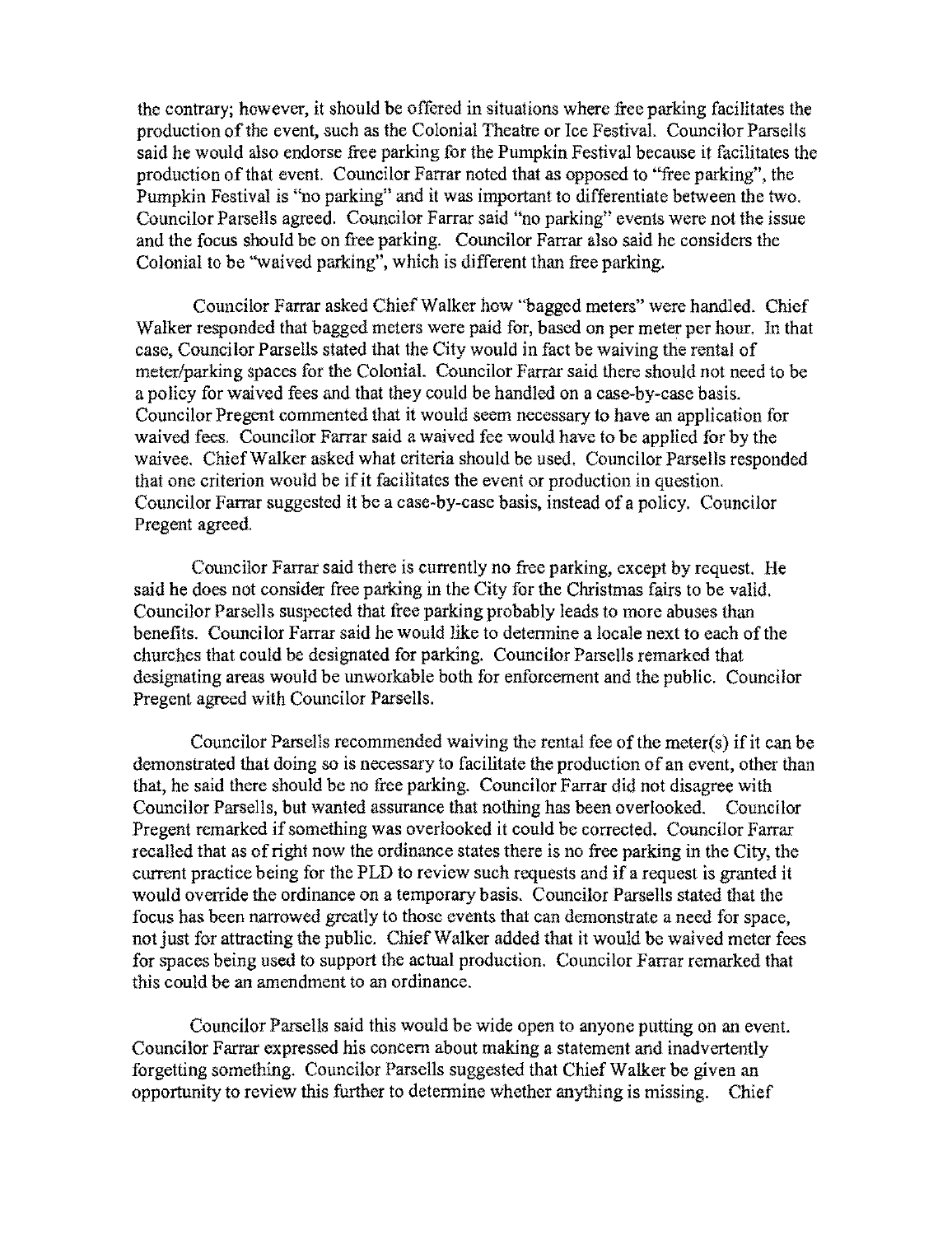the contrary; however, it should be offered in situations where free parking facilitates the production of the event, such as the Colonial Theatre or Ice Festival. Councilor Parsells said he would also endorse free parking for the Pumpkin Festival because it facilitates the production of that event. Councilor Farrar noted that as opposed to "free parking", the Pumpkin Festival is "no parking" and it was important to differentiate between the two. Councilor Parsells agreed. Councilor Farrar said "no parking" events were not the issue and the focus should be on free parking. Councilor Farrar also said he considers the Colonial to be "waived parking", which is different than free parking.

Councilor Farrar asked Chief Walker how "bagged meters" were handled. Chief Walker responded that bagged meters were paid for, based on per meter per hour. In that case, Councilor Parsells stated that the City would in fact be waiving the rental of meter/parking spaces for the ColoniaL Councilor Farrar said there should not need to be a policy for waived fees and that they could be handled on a case-by-case basis. Councilor Pregent eommented that it would seem necessary to have an application for waived fees. Councilor Farrar said a waived fee would have to be applied for by the waivee. Chief Walker asked what criteria should be used. Councilor Parsells responded that one criterion would be if it facilitates the event or production in question. Councilor Farrar suggested it be a case-by-case basis, instead of a policy. Councilor Pregent agreed.

Councilor Farrar said there is currently no free parking, except by request. He said he does not consider free parking in the City for the Christmas fairs to be valid. Councilor Parsells suspected that free parking probably leads to more abuses than benefits. Councilor Farrar said he would like to determine a locale next to each of the churches that could be designated for parking. Councilor Parsells remarked that designating areas would be unworkable both for enforcement and the public. Councilor Pregent agreed with Councilor Parsells.

Councilor Parsells recommended waiving the rental fee of the meter(s) if it can be demonstrated that doing so is necessary to facilitate the production of an event, other than that, he said there should be no free parking. Councilor Farrar did not disagree with Councilor Parsells, but wanted assurance that nothing has been overlooked. Councilor Pregent remarked if something was overlooked it could be corrected. Councilor Farrar recalled that as of right now the ordinance states there is no free parking in the City, the current practice being for the PLD to review such requests and if a request is granted it would override the ordinance on a temporary basis. Councilor Parsells stated that the focus has been narrowed greatly to those events that can demonstrate a need for space, not just for attracting the public. Chief Walker added that it would be waived meter fees for spaces being used to support the actual production. Councilor Farrar remarked that this could be an amendment to an ordinance.

Councilor Parsells said this would be wide open to anyone putting on an event. Councilor Farrar expressed his concern about making a statement and inadvertently forgetting something. Councilor Parsells suggested that Chief Walker be given an opportunity to review this further to determine whether anything is missing. Chief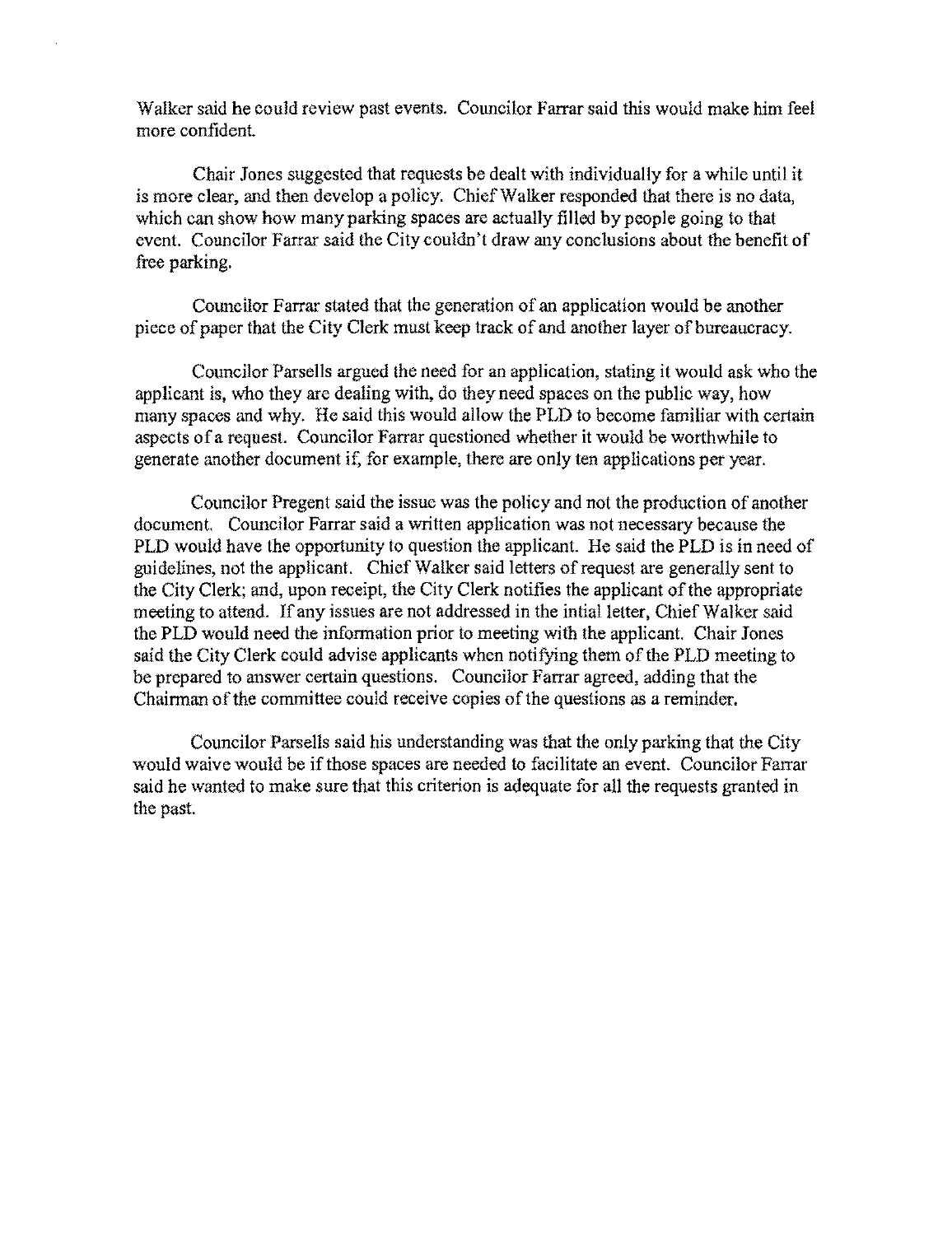Walker said **he** could review past events. Councilor Farrar said this would make him feel more confiden!.

Chair Jones suggested that requests be dealt with individually for a while until it is more clear, and then develop a policy. Chief Walker responded that there is no data, which can show how many parking spaces are actually filled by people going to that event. Councilor Farrar said the City couldn't draw any conclusions about the benefit of free parking.

Couneilor Farrar stated that the generation of an application would be another piece of paper that the City Clerk must keep track of and another layer of bureaucracy.

Councilor Parsells argued the need for an application, stating it would ask who the applicant is, who they are dealing with, do they need spaces on the publie way, how many spaces and why. He said this would allow the PLD to become familiar with certain aspects of a request. Councilor Farrar questioned whether it would be worthwhile to generate another document if, for example, there are only ten applications per year.

Councilor Pregent said the issue was the policy and not the production of another document. Councilor Farrar said a written application was not necessary because the PLD would have the opportunity to question the applicant. He said the PLD is in need of guidelines, not the applicant. Chief Walker said letters of request are generally sent to the City Clerk; and, upon receipt, the City Clerk notifies the applicant of the appropriate meeting to attend. If any issues are not addressed in the intial letter, Chief Walker said the PLD would need the information prior 10 meeting with the applicant. Chair Jones said the City Clerk could advise applicants when notifying them of the PLD meeting to be prepared to answer certain questions. Councilor Farrar agreed, adding that the Chairman of the committee could receive copies of the questions as a reminder.

Councilor Parsells said his understanding was that the only parking that the City would waive would be if those spaces are needed to facilitate an event. Councilor Farrar said he wanted to make sure that this criterion is adequate for all the requests granted in the past.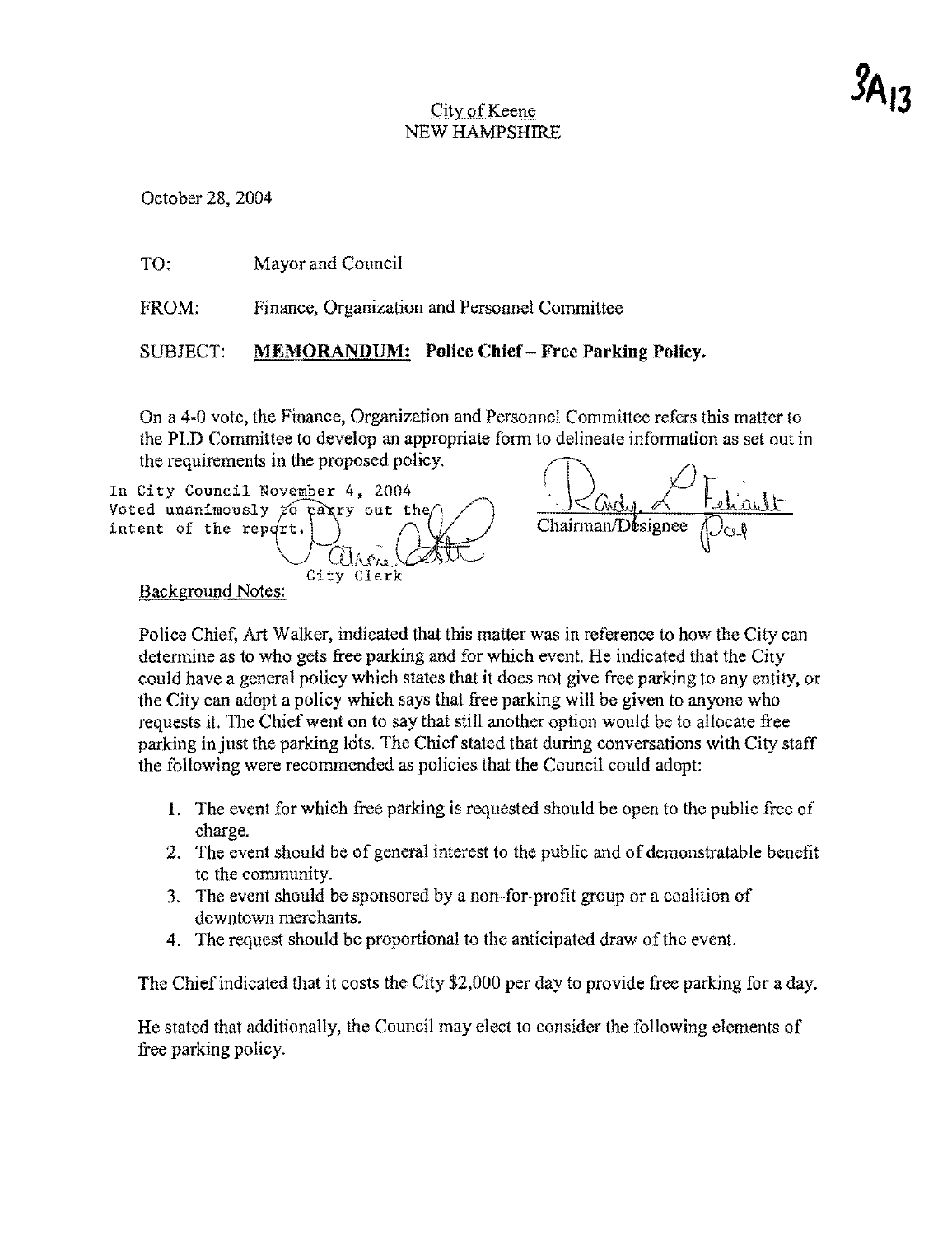## City of Keene NEW HAMPSHIRE

October 28, 2004

| TO.                                                                                                                                                                               | Mayor and Council                                      |  |
|-----------------------------------------------------------------------------------------------------------------------------------------------------------------------------------|--------------------------------------------------------|--|
| FROM:                                                                                                                                                                             | Finance, Organization and Personnel Committee          |  |
| SUBJECT:                                                                                                                                                                          | <b>MEMORANDUM:</b> Police Chief – Free Parking Policy. |  |
| On a 4-0 vote, the Finance, Organization and Personnel Committee refers this matter to<br>the PLD Committee to develop an appropriate form to delineate information as set out in |                                                        |  |

the requirements in the proposed policy. In City Council November 4, 2004 Voted unanimously to party out the intent of the report.  $\bigcap$ Chairman/Désignee City Clerk Background Notes:

Police Chicf, Art Walker, indicated that this matter was in reference to how the City can determine as to who gets free parking and for which event. He indicated that the City could have a general policy which states that it does not give free parking to any entity, or the City can adopt a policy which says that free parking will be given to anyone who requests it. The Chief went on to say that still another option would be to allocate free parking in just the parking lots. The Chief stated that during conversations with City staff the following were recommended as policies that the Council could adopt:

- 1. The event for which free parking is requested should be open to the public free of charge.
- 2. The event should be of general interest to the publie and of dernonstratable benefit to the eommunity.
- 3. The event should be sponsored by a non-far-profit group or a eoalition of downtown merchants.
- 4. The request should be proportional to the anticipated draw of the event.

The Chief indicated that it costs the City \$2,000 per day to provide free parking for a day.

He stated that additionally, the Council may elect to consider the following elements of free parking policy.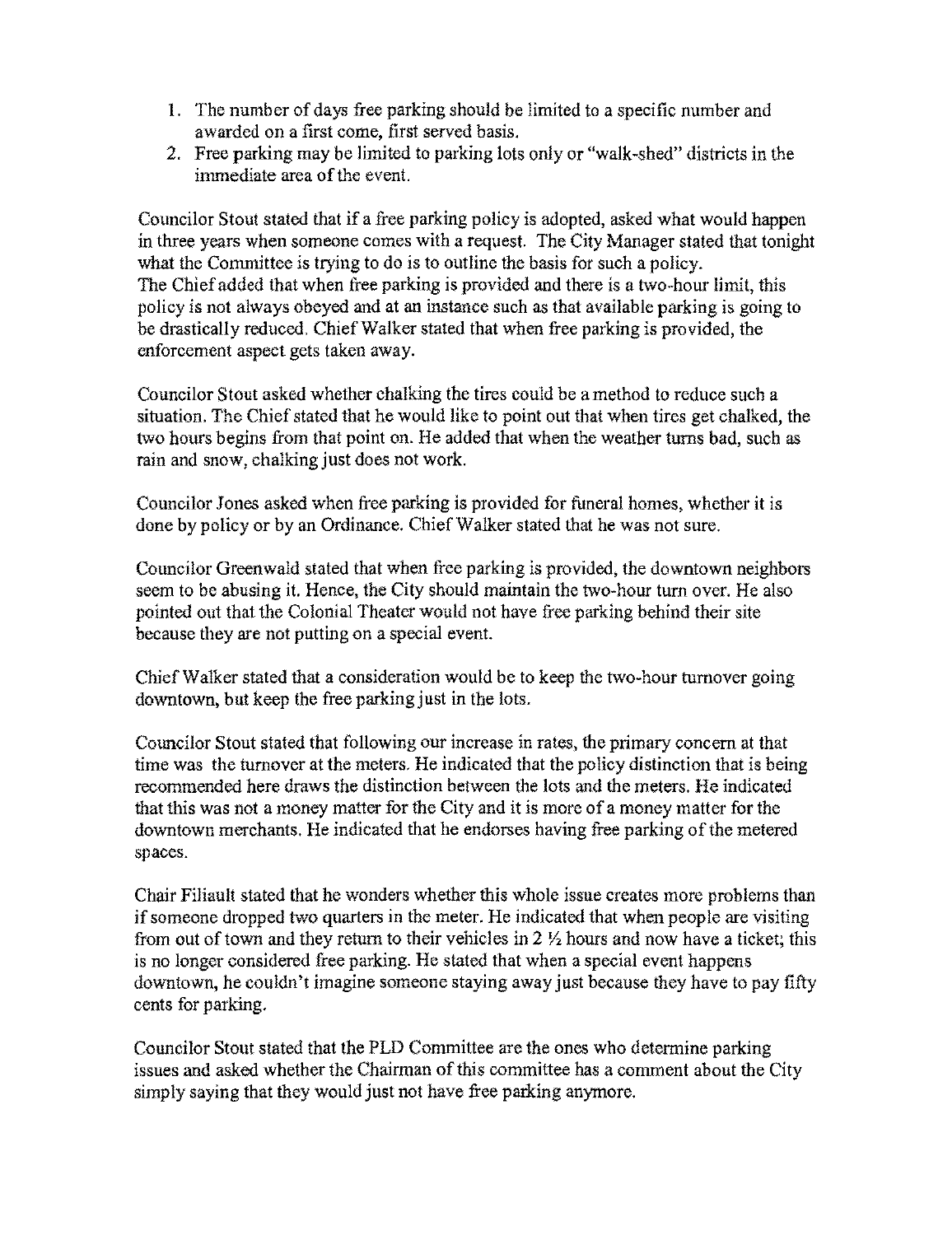- 1. The number of days free parking should be limited to a specific number and awarded on a first come, first served basis.
- 2. Free parking may be limited to parking lots only or "walk-shed" districts in the immediate area of the event.

Councilor Stout stated that if a free parking poliey is adopted, asked what would happen in three years when someone comes with a request. The City Manager stated that tonight what the Committee is trying to do is to outline the basis for such a policy. The Chief added that when free parking is provided and there is a two-hour limit, this policy is not always obeyed and at an instance such as that available parking is going to be drastically reduced. Chief Walker stated that when free parking is provided, the enforcement aspect gets taken away.

Councilor Stout asked whether chalking the tires could be amethod to reduce such a situation. The Chief stated that he would like to point out that when tires get chalked, the two hours begins from that point on. He added that when the weather turns bad, such as rain and snow, chalking just does not work.

Councilor Jones asked when free parking is provided for funeral homes, whether it is done by policy or by an Ordinance. Chief Walker stated that he was not sure.

Councilor Greenwald stated that when free parking is provided, the downtown neighbors seem to be abusing it. Hence, the City should maintain the two-hour tum over. He also pointed out that the Colonial Theater would not have free parking behind their site because they are not putting on a special event.

Chief Walker stated that a consideration would be to keep the two-hour turnover going downtown, but keep the free parking just in the lots.

Councilor Stout stated that following our increase in rates, the primary concern at that time was the turnover at the meters. He indicated that the policy distinction that is being recommended here draws the distinction between the lots and the meters. He indicated that this was not a money matter for the City and it is more of a money matter for the downtown merchants. He indicated that he endorses having free parking of the metered spaces.

Chair Filiault stated that he wonders whether this whole issue creates more problems than if someone dropped two quarters in the meter. He indicated that when people are visiting from out of town and they return to their vehicles in 2 *Y,* hours and now have a ticket; this is no longer considered free parking. He stated that when a special event happens downtown, he couldn't imagine someone staying away just because they have to pay fifty cents for parking.

Councilor Stout stated that the PLD Committee are the ones who determine parking issues and asked whether the Chairman of this committee has a comment about the City simply saying that they would just not have free parking anymore.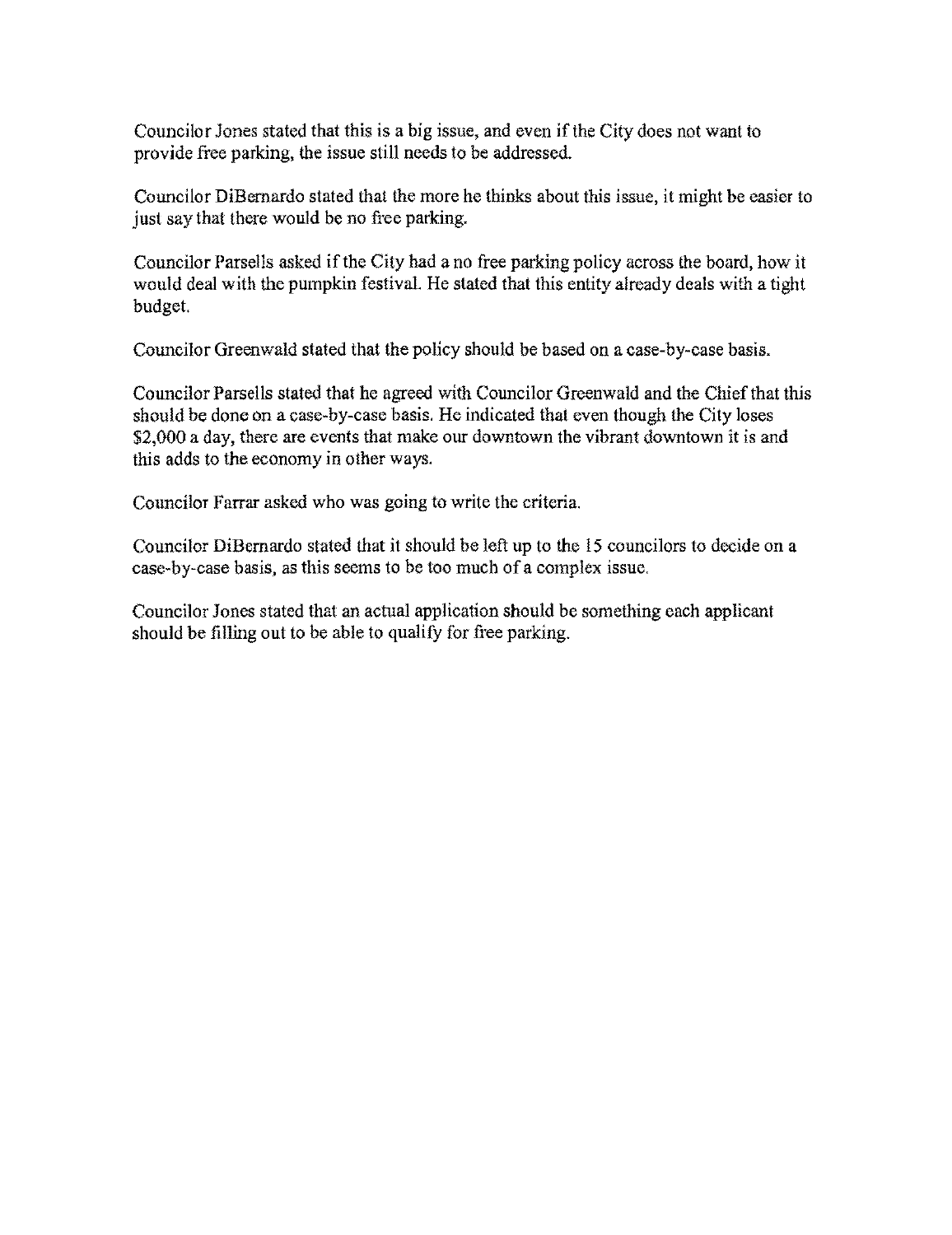Councilor Jones stated that this is a big issue, and even if the City does not want to provide free parking, the issue still needs to be addressed.

Councilor DiBernardo stated that the more he thinks about this issue, it might be easier to just say that there would be no free parking.

Councilor Parsells asked if the City had a no free parking policy across the board, how it would deal with the pumpkin festival. He stated that this entity already deals with a tight budget.

Councilor Greenwald stated that the policy should be based on a case-by-case basis.

Councilor Parsells stated that he agreed with Councilor Greenwald and the Chief that this should be done on a case-by-case basis. He indicated thai even though the Cily loses \$2,000 a day, there are events that make our downtown the vibrant downtown it is and this adds to the economy in other ways.

Councilor Farrar asked who was going to write the criteria.

Councilor DiBernardo stated that it should be left up to the 15 councilors to decide on a ease-by-case basis, as this seems to be too much of a complex issue.

Councilor Jones stated that an actual application should be something each applicant should be filling out to be able to qualify for free parking.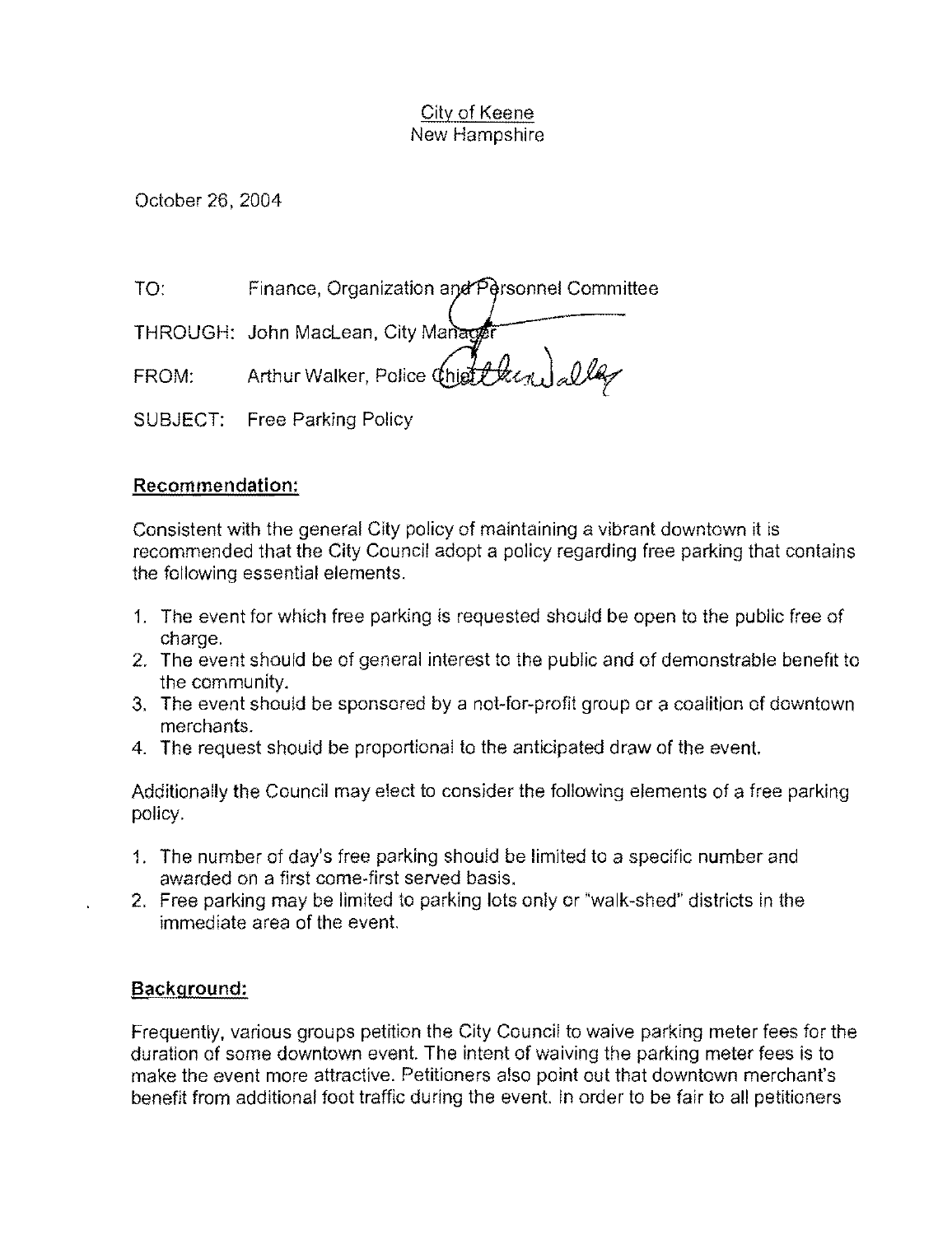October 26, 2004

TO: Finance, Organization and Personnel Committee

THROUGH: John MacLean, City Manager

 $FROM:$  Arthur Walker, Police  $\left(\text{higher}\right)$  alley

SUBJECT: Free Parking Policy

# **Recommendation:**

Consistent with the general City policy of maintaining a vibrant downtown it is recommended that the City Council adopt a policy regarding free parking that contains the following essential elements.

- 1. The event for which free parking is requested should be open to the public free of charge.
- 2. The event should be of general interest to the public and of demonstrable benefit to the community.
- 3. The event should be sponsored by a not-for-profit group or a coalition of downtown merchants.
- 4. The request should be proportional to the anticipated draw of the event.

Additionally the Council may elect to consider the following elements of a free parking policy.

- 1. The number of day's free parking should be limited to a specific number and awarded on a first come-first served basis.
- 2. Free parking may be limited to parking lots only or "walk-shed" districts in the immediate area of the event.

# **Background:**

Frequently, various groups petition the City Council to waive parking meter fees for the duration of some downtown event. The intent of waiving the parking meter fees is to make the event more attractive. Petitioners also point out that downtown merchant's benefit from additional foot traffic during the event. In order to be fair to all petitioners